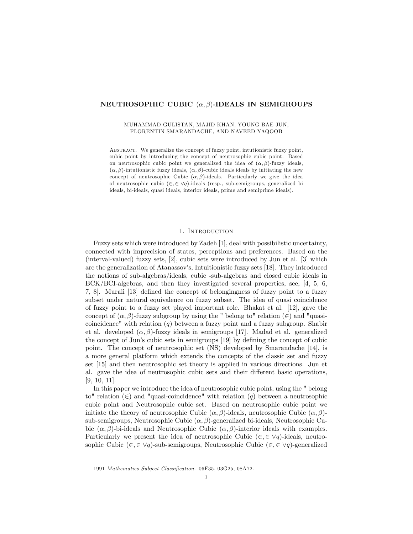## NEUTROSOPHIC CUBIC  $(\alpha, \beta)$ -IDEALS IN SEMIGROUPS

#### MUHAMMAD GULISTAN, MAJID KHAN, YOUNG BAE JUN, FLORENTIN SMARANDACHE, AND NAVEED YAQOOB

Abstract. We generalize the concept of fuzzy point, intutionistic fuzzy point, cubic point by introducing the concept of neutrosophic cubic point. Based on neutrosophic cubic point we generalized the idea of  $(\alpha, \beta)$ -fuzzy ideals,  $(\alpha, \beta)$ -intutionistic fuzzy ideals,  $(\alpha, \beta)$ -cubic ideals ideals by initiating the new concept of neutrosophic Cubic  $(\alpha, \beta)$ -ideals. Particularly we give the idea of neutrosophic cubic  $(\in, \in \vee q)$ -ideals (resp., sub-semigroups, generalized bi ideals, bi-ideals, quasi ideals, interior ideals, prime and semiprime ideals).

#### 1. Introduction

Fuzzy sets which were introduced by Zadeh [1], deal with possibilistic uncertainty, connected with imprecision of states, perceptions and preferences. Based on the (interval-valued) fuzzy sets, [2], cubic sets were introduced by Jun et al. [3] which are the generalization of Atanassov's, Intuitionistic fuzzy sets [18]. They introduced the notions of sub-algebras/ideals, cubic -sub-algebras and closed cubic ideals in BCK/BCI-algebras, and then they investigated several properties, see, [4, 5, 6, 7, 8]. Murali [13] deÖned the concept of belongingness of fuzzy point to a fuzzy subset under natural equivalence on fuzzy subset. The idea of quasi coincidence of fuzzy point to a fuzzy set played important role. Bhakat et al. [12], gave the concept of  $(\alpha, \beta)$ -fuzzy subgroup by using the " belong to" relation  $(\in)$  and "quasicoincidence" with relation  $(q)$  between a fuzzy point and a fuzzy subgroup. Shabir et al. developed  $(\alpha, \beta)$ -fuzzy ideals in semigroups [17]. Madad et al. generalized the concept of Jun's cubic sets in semigroups  $[19]$  by defining the concept of cubic point. The concept of neutrosophic set (NS) developed by Smarandache [14], is a more general platform which extends the concepts of the classic set and fuzzy set [15] and then neutrosophic set theory is applied in various directions. Jun et al. gave the idea of neutrosophic cubic sets and their different basic operations, [9, 10, 11].

In this paper we introduce the idea of neutrosophic cubic point, using the " belong to" relation  $(\epsilon)$  and "quasi-coincidence" with relation  $(q)$  between a neutrosophic cubic point and Neutrosophic cubic set. Based on neutrosophic cubic point we initiate the theory of neutrosophic Cubic  $(\alpha, \beta)$ -ideals, neutrosophic Cubic  $(\alpha, \beta)$ sub-semigroups, Neutrosophic Cubic  $(\alpha, \beta)$ -generalized bi-ideals, Neutrosophic Cubic  $(\alpha, \beta)$ -bi-ideals and Neutrosophic Cubic  $(\alpha, \beta)$ -interior ideals with examples. Particularly we present the idea of neutrosophic Cubic  $(\epsilon, \epsilon \vee q)$ -ideals, neutrosophic Cubic ( $\in$ ,  $\in$   $\vee$ q)-sub-semigroups, Neutrosophic Cubic ( $\in$ ,  $\in$   $\vee$ q)-generalized

<sup>1991</sup> Mathematics Subject Classification. 06F35, 03G25, 08A72.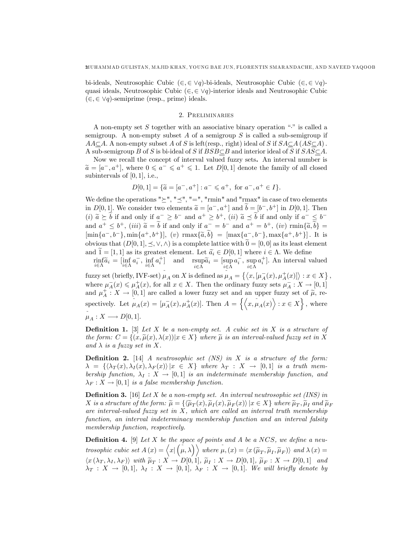bi-ideals, Neutrosophic Cubic  $(\in, \in \vee q)$ -bi-ideals, Neutrosophic Cubic  $(\in, \in \vee q)$ quasi ideals, Neutrosophic Cubic ( $\in$ ,  $\in \vee q$ )-interior ideals and Neutrosophic Cubic  $(\in, \in \vee q)$ -semiprime (resp., prime) ideals.

#### 2. Preliminaries

A non-empty set S together with an associative binary operation  $\ddots$  is called a semigroup. A non-empty subset A of a semigroup  $S$  is called a sub-semigroup if  $A A \subset A$ . A non-empty subset A of S is left(resp., right) ideal of S if  $S A \subset A (AS \subset A)$ . A sub-semigroup B of S is bi-ideal of S if  $BSB\subset B$  and interior ideal of S if  $SAS\subset A$ .

Now we recall the concept of interval valued fuzzy sets. An interval number is  $\widetilde{a} = [a^-, a^+]$ , where  $0 \le a^- \le a^+ \le 1$ . Let  $D[0, 1]$  denote the family of all closed subintervals of  $[0, 1]$ , i.e.,

$$
D[0,1] = \{ \tilde{a} = [a^-, a^+] : a^- \leq a^+, \text{ for } a^-, a^+ \in I \}.
$$

We define the operations " $\geq$ ", " $\preceq$ ", " $=$ ", "rmin" and "rmax" in case of two elements in  $D[0,1]$ . We consider two elements  $\widetilde{a} = [a^-, a^+]$  and  $\widetilde{b} = [b^-, b^+]$  in  $D[0,1]$ . Then (i)  $\tilde{a} \geq \tilde{b}$  if and only if  $a^- \geq b^-$  and  $a^+ \geq b^+$ , (ii)  $\tilde{a} \preceq \tilde{b}$  if and only if  $a^- \leq b^$ and  $a^+ \leq b^+$ , (iii)  $\tilde{a} = b$  if and only if  $a^- = b^-$  and  $a^+ = b^+$ , (iv)  $\min\{\tilde{a}, \tilde{b}\}$  $[\min\{a^-, b^-\}, \min\{a^+, b^+\}], (v) \text{ } \max\{\tilde{a}, \tilde{b}\} = [\max\{a^-, b^-\}, \max\{a^+, b^+\}].$  It is obvious that  $(D[0, 1], \leq, \vee, \wedge)$  is a complete lattice with  $0 = [0, 0]$  as its least element and  $1 = [1, 1]$  as its greatest element. Let  $\tilde{a}_i \in D[0, 1]$  where  $i \in \Lambda$ . We define

rinf  $\underset{i\in\Lambda}{\text{rinf}}\widetilde{a}_i = \underset{i\in\Lambda}{\text{inf}}$  $a_i^-$ , inf  $i\in\Lambda$  $a_i^+$  and rsup  $\operatorname*{sup}_{i\in\Lambda} \widetilde{a}_i = \begin{bmatrix} \operatorname{sup}_{i\in\Lambda} \end{bmatrix}$  $a_i^-, \text{ sup}$  $i\in\Lambda$  $a_i^+$ ]. An interval valued

fuzzy set (briefly, IVF-set)  $\mu_A$  on X is defined as  $\mu_A = \{ \langle x, [\mu_A^-(x), \mu_A^+(x)] \rangle : x \in X \}$ , where  $\mu_A^-(x) \leq \mu_A^+(x)$ , for all  $x \in X$ . Then the ordinary fuzzy sets  $\mu_A^-(x) \leq \mu_A^+(x)$ , for all  $x \in X$ . and  $\mu_A^+ : X \to [0,1]$  are called a lower fuzzy set and an upper fuzzy set of  $\tilde{\mu}$ , respectively. Let  $\mu_A(x) = [\mu_A^-(x), \mu_A^+(x)].$  Then  $A = \{ \langle x, \mu_A(x) \rangle : x \in X \}$ , where  $\mu_A : X \longrightarrow D[0,1].$ 

**Definition 1.** [3] Let X be a non-empty set. A cubic set in X is a structure of the form:  $C = \{(x, \tilde{\mu}(x), \lambda(x)) | x \in X\}$  where  $\tilde{\mu}$  is an interval-valued fuzzy set in X and  $\lambda$  is a fuzzy set in X.

**Definition 2.** [14] A neutrosophic set  $(NS)$  in X is a structure of the form:  $\lambda = {\langle \lambda_T(x), \lambda_I(x), \lambda_F(x) \rangle | x \in X }$  where  $\lambda_T : X \to [0,1]$  is a truth membership function,  $\lambda_I : X \to [0,1]$  is an indeterminate membership function, and  $\lambda_F : X \to [0, 1]$  is a false membership function.

**Definition 3.** [16] Let X be a non-empty set. An interval neutrosophic set (INS) in X is a structure of the form:  $\widetilde{\mu} = \{ \langle \widetilde{\mu}_T(x), \widetilde{\mu}_I(x), \widetilde{\mu}_F(x) \rangle \mid x \in X \}$  where  $\widetilde{\mu}_T, \widetilde{\mu}_I$  and  $\widetilde{\mu}_F$ are interval-valued fuzzy set in  $X$ , which are called an interval truth membership function, an interval indeterminacy membership function and an interval falsity membership function, respectively.

**Definition 4.** [9] Let X be the space of points and A be a NCS, we define a neu- $\emph{trosophic cubic set } A(x) = \Bigl\langle x | \Bigl( \mu, \lambda \Bigr) \Bigr\rangle \emph{ where } \mu, (x) = \langle x \left( \widetilde{\mu}_T, \widetilde{\mu}_I, \widetilde{\mu}_F \right) \rangle \emph{ and } \lambda(x) = 0$  $\langle x(\lambda_T, \lambda_I, \lambda_F) \rangle$  with  $\widetilde{\mu}_T : X \to D[0, 1], \widetilde{\mu}_I : X \to D[0, 1], \widetilde{\mu}_F : X \to D[0, 1]$  and  $\lambda_T : X \to [0,1], \lambda_I : X \to [0,1], \lambda_F : X \to [0,1].$  We will briefly denote by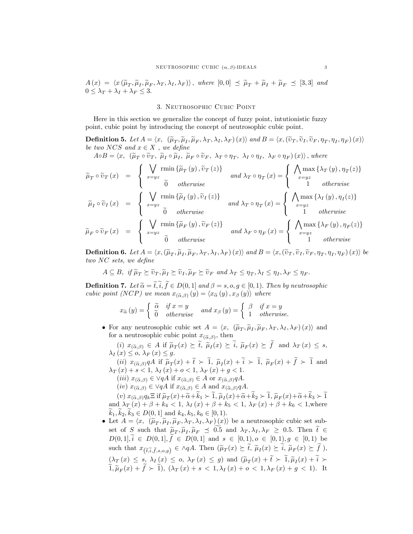$A(x) = \langle x(\tilde{\mu}_T, \tilde{\mu}_I, \tilde{\mu}_F, \lambda_I, \lambda_I, \lambda_F) \rangle$ , where  $[0,0] \preceq \tilde{\mu}_T + \tilde{\mu}_I + \tilde{\mu}_F \preceq [3,3]$  and  $0 \leq \lambda_T + \lambda_I + \lambda_F \leq 3.$ 

### 3. NEUTROSOPHIC CUBIC POINT

Here in this section we generalize the concept of fuzzy point, intutionistic fuzzy point, cubic point by introducing the concept of neutrosophic cubic point.

**Definition 5.** Let  $A = \langle x, (\tilde{\mu}_T, \tilde{\mu}_I, \tilde{\mu}_F, \lambda_T, \lambda_I, \lambda_F)(x) \rangle$  and  $B = \langle x, (\tilde{\nu}_T, \tilde{\nu}_I, \tilde{\nu}_F, \eta_T, \eta_I, \eta_F)(x) \rangle$ be two NCS and  $x \in X$ , we define

 $A \circ B = \langle x, \ (\widetilde{\mu}_T \circ \widetilde{v}_T, \ \widetilde{\mu}_I \circ \widetilde{\mu}_I, \ \widetilde{\mu}_F \circ \widetilde{v}_F, \ \lambda_T \circ \eta_T, \ \lambda_I \circ \eta_I, \ \lambda_F \circ \eta_F \rangle (x) \rangle$ , where

$$
\widetilde{\mu}_{T} \circ \widetilde{\upsilon}_{T}(x) = \begin{cases}\n\bigvee_{x=yz} \min \{\widetilde{\mu}_{T}(y), \widetilde{\upsilon}_{T}(z)\} & \text{and } \lambda_{T} \circ \eta_{T}(x) = \begin{cases}\n\bigwedge_{x=yz} \max \{\lambda_{T}(y), \eta_{T}(z)\} \\
1 & \text{otherwise}\n\end{cases} \\
\widetilde{\mu}_{I} \circ \widetilde{\upsilon}_{I}(x) = \begin{cases}\n\bigvee_{x=yz} \min \{\widetilde{\mu}_{I}(y), \widetilde{\upsilon}_{I}(z)\} \\
\vdots \\
0 & \text{otherwise}\n\end{cases} \text{ and } \lambda_{T} \circ \eta_{T}(x) = \begin{cases}\n\bigwedge_{x=yz} \max \{\lambda_{I}(y), \eta_{I}(z)\} \\
1 & \text{otherwise}\n\end{cases} \\
\widetilde{\mu}_{F} \circ \widetilde{\upsilon}_{F}(x) = \begin{cases}\n\bigvee_{x=yz} \min \{\widetilde{\mu}_{F}(y), \widetilde{\upsilon}_{F}(z)\} \\
\vdots \\
0 & \text{otherwise}\n\end{cases} \text{ and } \lambda_{F} \circ \eta_{F}(x) = \begin{cases}\n\bigwedge_{x=yz} \max \{\lambda_{F}(y), \eta_{F}(z)\} \\
1 & \text{otherwise}\n\end{cases}
$$

**Definition 6.** Let  $A = \langle x, (\tilde{\mu}_T, \tilde{\mu}_I, \tilde{\mu}_F, \lambda_T, \lambda_F, \lambda_F)(x) \rangle$  and  $B = \langle x, (\tilde{\nu}_T, \tilde{\nu}_I, \tilde{\nu}_F, \eta_T, \eta_I, \eta_F)(x) \rangle$  be  $two NC sets, we define$ 

$$
A \subseteq B, \text{ if } \widetilde{\mu}_T \succeq \widetilde{v}_T, \widetilde{\mu}_I \succeq \widetilde{v}_I, \widetilde{\mu}_F \succeq \widetilde{v}_F \text{ and } \lambda_T \le \eta_T, \lambda_I \le \eta_I, \lambda_F \le \eta_F.
$$

**Definition 7.** Let  $\widetilde{\alpha} = \widetilde{t}, \widetilde{i}, \widetilde{f} \in D(0,1]$  and  $\beta = s, o, g \in [0,1)$ . Then by neutrosophic cubic point (NCP) we mean  $x_{(\tilde{\alpha},\beta)}(y) = \langle x_{\tilde{\alpha}}(y), x_{\beta}(y) \rangle$  where

$$
x_{\widetilde{\alpha}}\left(y\right) = \begin{cases} \widetilde{\alpha} & \text{if } x = y \\ 0 & \text{otherwise} \end{cases} \quad and \ x_{\beta}\left(y\right) = \begin{cases} \beta & \text{if } x = y \\ 1 & \text{otherwise} \end{cases}
$$

• For any neutrosophic cubic set  $A = \langle x, (\tilde{\mu}_T, \tilde{\mu}_I, \tilde{\mu}_F, \lambda_T, \lambda_I, \lambda_F)(x) \rangle$  and for a neutrosophic cubic point  $x_{(\tilde{\alpha},\beta)}$ , then

(i)  $x_{(\widetilde{\alpha},\beta)} \in A$  if  $\widetilde{\mu}_T(x) \succeq \widetilde{t}$ ,  $\widetilde{\mu}_I(x) \succeq \widetilde{i}$ ,  $\widetilde{\mu}_F(x) \succeq \widetilde{f}$  and  $\lambda_T(x) \leq s$ ,  $\lambda_I(x) \leq o, \lambda_F(x) \leq g.$ (ii)  $x_{(\widetilde{\alpha},\beta)}qA$  if  $\widetilde{\mu}_T(x)+\widetilde{t} > \widetilde{1}$ ,  $\widetilde{\mu}_I(x)+\widetilde{t} > \widetilde{1}$ ,  $\widetilde{\mu}_F(x)+\widetilde{f} > \widetilde{1}$  and

- $\lambda_T(x) + s < 1, \, \lambda_I(x) + o < 1, \, \lambda_F(x) + g < 1.$ 
	- (*iii*)  $x_{(\tilde{\alpha},\beta)} \in \forall qA$  if  $x_{(\tilde{\alpha},\beta)} \in A$  or  $x_{(\tilde{\alpha},\beta)}qA$ .

 $(iv)$   $x_{(\widetilde{\alpha},\beta)} \in \forall qA$  if  $x_{(\widetilde{\alpha},\beta)} \in A$  and  $x_{(\widetilde{\alpha},\beta)}\circ qA$ . (v)  $x_{(\widetilde{\alpha},\beta)} q_k \Xi$  if  $\widetilde{\mu}_T(x) + \widetilde{\alpha} + \widetilde{k}_1 > \widetilde{1}, \widetilde{\mu}_I(x) + \widetilde{\alpha} + \widetilde{k}_2 > \widetilde{1}, \widetilde{\mu}_F(x) + \widetilde{\alpha} + \widetilde{k}_3 > \widetilde{1}$ and  $\lambda_T(x) + \beta + k_4 < 1$ ,  $\lambda_I(x) + \beta + k_5 < 1$ ,  $\lambda_F(x) + \beta + k_6 < 1$ , where

- $\widetilde{k}_1, \widetilde{k}_2, \widetilde{k}_3 \in D(0, 1]$  and  $k_4, k_5, k_6 \in [0, 1)$ .
- Let  $A = \langle x, \langle \tilde{\mu}_T, \tilde{\mu}_I, \tilde{\mu}_F, \lambda_T, \lambda_I, \lambda_F \rangle(x) \rangle$  be a neutrosophic cubic set subset of S such that  $\tilde{\mu}_T$ ,  $\tilde{\mu}_I$ ,  $\tilde{\mu}_F \preceq 0.5$  and  $\lambda_T$ ,  $\lambda_I$ ,  $\lambda_F \ge 0.5$ . Then  $\tilde{t} \in$  $D(0,1], \tilde{i} \in D(0,1], \tilde{f} \in D(0,1]$  and  $s \in [0,1), o \in [0,1), g \in [0,1)$  be such that  $x_{(\tilde{t},\tilde{i},\tilde{t},s,a,q)} \in \Delta qA$ . Then  $(\tilde{\mu}_T(x) \succeq \tilde{t}, \tilde{\mu}_I(x) \succeq i, \tilde{\mu}_F(x) \succeq f)$ ,  $(\lambda_T(x) \leq s, \lambda_I(x) \leq o, \lambda_F(x) \leq g)$  and  $(\tilde{\mu}_T(x) + \tilde{t} \succ \tilde{1}, \tilde{\mu}_I(x) + \tilde{t} \succ$  $\widetilde{1}, \widetilde{\mu}_F(x) + \widetilde{f} \succ \widetilde{1}$ ,  $(\lambda_T(x) + s < 1, \lambda_T(x) + o < 1, \lambda_F(x) + g < 1)$ . It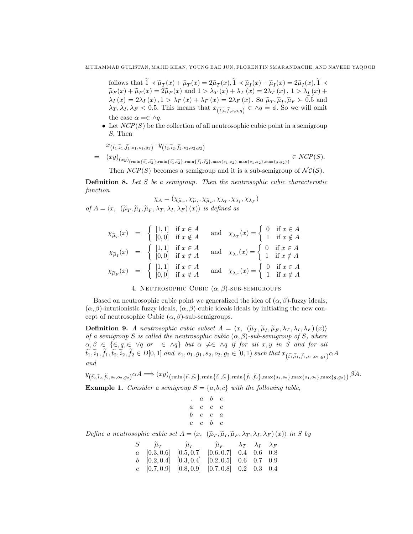follows that  $1 \prec \tilde{\mu}_T(x) + \tilde{\mu}_T(x) = 2\tilde{\mu}_T(x), 1 \prec \tilde{\mu}_I(x) + \tilde{\mu}_I(x) = 2\tilde{\mu}_I(x), 1 \prec \tilde{\mu}_I(x) + \tilde{\mu}_I(x) = 2\tilde{\mu}_I(x) + \tilde{\mu}_I(x)$  $\widetilde{\mu}_F(x) + \widetilde{\mu}_F(x) = 2\widetilde{\mu}_F(x)$  and  $1 > \lambda_T(x) + \lambda_T(x) = 2\lambda_T(x), 1 > \lambda_T(x) +$  $\lambda_I(x) = 2\lambda_I(x), 1 > \lambda_F(x) + \lambda_F(x) = 2\lambda_F(x)$ . So  $\tilde{\mu}_T, \tilde{\mu}_F \succ 0.5$  and  $\lambda_T, \lambda_I, \lambda_F < 0.5$ . This means that  $x_{(\tilde{t}, \tilde{i}, \tilde{f}, s, o, g)} \in \Lambda q = \phi$ . So we will omit the case  $\alpha = \in \wedge q$ .

 $\bullet$  Let  $NCP(S)$  be the collection of all neutrosophic cubic point in a semigroup S: Then

$$
x_{(\tilde{t}_{1},\tilde{i}_{1},\tilde{f}_{1},s_{1},o_{1},g_{1})} \cdot y_{(\tilde{t}_{2},\tilde{i}_{2},\tilde{f}_{2},s_{2},o_{2},g_{2})}
$$
\n
$$
= (xy)_{(xy)_{(\min{\tilde{t}_{1},\tilde{t}_{2}}},\min{\tilde{t}_{1},\tilde{i}_{2}}},\min{\tilde{t}_{1},\tilde{f}_{2}},\min{\tilde{f}_{1},\tilde{f}_{2}},\max{\{s_{1},s_{2}\},\max{\{o_{1},o_{2}\},\max{\{g,g_{2}\}}\}} \in NCP(S).
$$

Then  $NCP(S)$  becomes a semigroup and it is a sub-semigroup of  $\mathcal{NC}(S)$ .

**Definition 8.** Let  $S$  be a semigroup. Then the neutrosophic cubic characteristic function

$$
\chi_A = (\chi_{\tilde{\mu}_T}, \chi_{\tilde{\mu}_F}, \chi_{\tilde{\mu}_F}, \chi_{\lambda_T}, \chi_{\lambda_I}, \chi_{\lambda_F})
$$
  
of  $A = \langle x, \ (\tilde{\mu}_T, \tilde{\mu}_I, \tilde{\mu}_F, \lambda_T, \lambda_I, \lambda_F) (x) \rangle$  is defined as

$$
\chi_{\widetilde{\mu}_T}(x) = \begin{cases}\n[1,1] & \text{if } x \in A \\
[0,0] & \text{if } x \notin A\n\end{cases} \text{ and } \chi_{\lambda_T}(x) = \begin{cases}\n0 & \text{if } x \in A \\
1 & \text{if } x \notin A\n\end{cases}
$$
\n
$$
\chi_{\widetilde{\mu}_I}(x) = \begin{cases}\n[1,1] & \text{if } x \in A \\
[0,0] & \text{if } x \notin A\n\end{cases} \text{ and } \chi_{\lambda_I}(x) = \begin{cases}\n0 & \text{if } x \in A \\
1 & \text{if } x \notin A\n\end{cases}
$$
\n
$$
\chi_{\widetilde{\mu}_F}(x) = \begin{cases}\n[1,1] & \text{if } x \in A \\
[0,0] & \text{if } x \notin A\n\end{cases} \text{ and } \chi_{\lambda_F}(x) = \begin{cases}\n0 & \text{if } x \in A \\
1 & \text{if } x \notin A\n\end{cases}
$$

4. NEUTROSOPHIC CUBIC  $(\alpha, \beta)$ -SUB-SEMIGROUPS

Based on neutrosophic cubic point we generalized the idea of  $(\alpha, \beta)$ -fuzzy ideals,  $(\alpha, \beta)$ -intutionistic fuzzy ideals,  $(\alpha, \beta)$ -cubic ideals ideals by initiating the new concept of neutrosophic Cubic  $(\alpha, \beta)$ -sub-semigroups.

**Definition 9.** A neutrosophic cubic subset  $A = \langle x, (\tilde{\mu}_T, \tilde{\mu}_I, \tilde{\mu}_F, \lambda_T, \lambda_I, \lambda_F)(x) \rangle$ of a semigroup S is called the neutrosophic cubic  $(\alpha, \beta)$ -sub-semigroup of S, where  $\alpha, \beta \in \{\in, q, \in \vee q \text{ or } \in \wedge q\}$  but  $\alpha \neq \in \wedge q$  if for all  $x, y$  in S and for all  $t_1,i_1,f_1,t_2,i_2,f_2\in D[0,1]$  and  $s_1,o_1,g_1,s_2,o_2,g_2\in [0,1)$  such that  $x_{(\tilde{t_1},\tilde{t_1},\tilde{f_1},s_1,o_1,g_1)}\alpha A$ and

 $y_{(\tilde{t_2}, \tilde{i}_2, \tilde{t_2}, s_2, o_2, g_2)} \alpha A \Longrightarrow (xy)_{(\min\{\tilde{t_1}, \tilde{t_2}\}, \min\{\tilde{i_1}, \tilde{i_2}\}, \min\{\tilde{f_1}, \tilde{f_2}\}, \max\{s_1, s_2\}, \max\{o_1, o_2\}, \max\{g, g_2\}) } \beta A.$ 

**Example 1.** Consider a semigroup  $S = \{a, b, c\}$  with the following table,

```
: a b c
a \quad c \quad c \quad cb \quad c \quad c \quad ac \quad c \quad b \quad c
```
Define a neutrosophic cubic set  $A = \langle x, \; (\tilde{\mu}_T, \tilde{\mu}_I, \tilde{\mu}_F, \lambda_T, \lambda_I, \lambda_F) (x) \rangle$  in S by

| $S \qquad \widetilde{\mu}_T \qquad \qquad \widetilde{\mu}_I \qquad \qquad \widetilde{\mu}_F \qquad \lambda_T \quad \lambda_I \quad \lambda_F$ |  |  |  |
|-----------------------------------------------------------------------------------------------------------------------------------------------|--|--|--|
| $a \quad [0.3, 0.6] \quad [0.5, 0.7] \quad [0.6, 0.7] \quad 0.4 \quad 0.6 \quad 0.8$                                                          |  |  |  |
| $b$ [0.2, 0.4] [0.3, 0.4] [0.2, 0.5] 0.6 0.7 0.9                                                                                              |  |  |  |
| $c$ [0.7, 0.9] [0.8, 0.9] [0.7, 0.8] 0.2 0.3 0.4                                                                                              |  |  |  |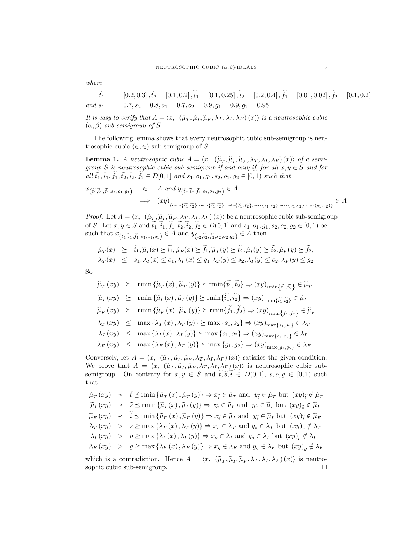where

 $\widetilde{t}_1 \quad = \quad \left[0.2, 0.3\right], \widetilde{t}_2 = \left[0.1, 0.2\right], \widetilde{i}_1 = \left[0.1, 0.25\right], \widetilde{i}_2 = \left[0.2, 0.4\right], \widetilde{f}_1 = \left[0.01, 0.02\right], \widetilde{f}_2 = \left[0.1, 0.2\right]$ and  $s_1 = 0.7$ ,  $s_2 = 0.8$ ,  $o_1 = 0.7$ ,  $o_2 = 0.9$ ,  $g_1 = 0.9$ ,  $g_2 = 0.95$ 

It is easy to verify that  $A = \langle x, \; (\tilde{\mu}_T, \tilde{\mu}_I, \tilde{\mu}_F, \lambda_T, \lambda_I, \lambda_F) (x) \rangle$  is a neutrosophic cubic<br>(i. 2) with continuum of C  $(\alpha, \beta)$ -sub-semigroup of S.

The following lemma shows that every neutrosophic cubic sub-semigroup is neutrosophic cubic  $(\in, \in)$ -sub-semigroup of S.

**Lemma 1.** A neutrosophic cubic  $A = \langle x, (\tilde{\mu}_T, \tilde{\mu}_I, \tilde{\mu}_F, \lambda_T, \lambda_I, \lambda_F)(x) \rangle$  of a semi-<br>group  $G$  is particularly subject to an interval subject for all  $x \in G$  and for group S is neutrosophic cubic sub-semigroup if and only if, for all  $x, y \in S$  and for all  $\tilde{t}_1, \tilde{i}_1, \tilde{t}_1, \tilde{t}_2, \tilde{i}_2, \tilde{t}_2 \in D[0,1]$  and  $s_1, o_1, g_1, s_2, o_2, g_2 \in [0,1)$  such that

$$
x_{\left(\tilde{t}_1, \tilde{t}_1, \tilde{t}_1, s_1, o_1, g_1\right)} \in A \text{ and } y_{\left(\tilde{t}_2, \tilde{t}_2, \tilde{t}_2, s_2, o_2, g_2\right)} \in A
$$
  
\n
$$
\implies (xy)_{\left(\min\{\tilde{t}_1, \tilde{t}_2\}, \min\{\tilde{t}_1, \tilde{t}_2\}, \min\{\tilde{t}_1, \tilde{t}_2\}, \min\{\tilde{t}_1, \tilde{t}_2\}, \max\{s_1, s_2\}, \max\{o_1, o_2\}, \max\{g_1, g_2\}\right)} \in A
$$

*Proof.* Let  $A = \langle x, (\tilde{\mu}_T, \tilde{\mu}_I, \tilde{\mu}_F, \lambda_T, \lambda_I, \lambda_F)(x) \rangle$  be a neutrosophic cubic sub-semigroup of S. Let  $x, y \in S$  and  $\tilde{t}_1, \tilde{t}_1, \tilde{t}_1, \tilde{t}_2, \tilde{t}_2, \tilde{t}_2 \in D(0, 1]$  and  $s_1, o_1, g_1, s_2, o_2, g_2 \in [0, 1)$  be such that  $x_{(\tilde{t}_1,\tilde{i}_1,\tilde{f}_1,s_1,o_1,g_1)} \in A$  and  $y_{(\tilde{t}_2,\tilde{i}_2,\tilde{f}_2,s_2,o_2,g_2)} \in A$  then

$$
\widetilde{\mu}_T(x) \geq \widetilde{t}_1, \widetilde{\mu}_I(x) \geq i_1, \widetilde{\mu}_F(x) \geq f_1, \widetilde{\mu}_T(y) \geq \widetilde{t}_2, \widetilde{\mu}_I(y) \geq i_2, \widetilde{\mu}_F(y) \geq f_2, \lambda_T(x) \leq s_1, \lambda_I(x) \leq o_1, \lambda_F(x) \leq g_1 \lambda_T(y) \leq s_2, \lambda_I(y) \leq o_2, \lambda_F(y) \leq g_2
$$

So

$$
\widetilde{\mu}_{T}(xy) \succeq \min \{\widetilde{\mu}_{T}(x), \widetilde{\mu}_{T}(y)\} \succeq \min \{\widetilde{t}_{1}, \widetilde{t}_{2}\} \Rightarrow (xy)_{\text{rmin}} \{\widetilde{t}_{1}, \widetilde{t}_{2}\} \in \widetilde{\mu}_{T}
$$
\n
$$
\widetilde{\mu}_{I}(xy) \succeq \min \{\widetilde{\mu}_{I}(x), \widetilde{\mu}_{I}(y)\} \succeq \min \{\widetilde{t}_{1}, \widetilde{t}_{2}\} \Rightarrow (xy)_{\text{rmin}\{\widetilde{t}_{1}, \widetilde{t}_{2}\}} \in \widetilde{\mu}_{I}
$$
\n
$$
\widetilde{\mu}_{F}(xy) \succeq \min \{\widetilde{\mu}_{F}(x), \widetilde{\mu}_{F}(y)\} \succeq \min \{\widetilde{f}_{1}, \widetilde{f}_{2}\} \Rightarrow (xy)_{\text{rmin}\{\widetilde{f}_{1}, \widetilde{f}_{2}\}} \in \widetilde{\mu}_{F}
$$
\n
$$
\lambda_{T}(xy) \leq \max \{\lambda_{T}(x), \lambda_{T}(y)\} \succeq \max \{s_{1}, s_{2}\} \Rightarrow (xy)_{\max\{s_{1}, s_{2}\}} \in \lambda_{T}
$$
\n
$$
\lambda_{I}(xy) \leq \max \{\lambda_{I}(x), \lambda_{I}(y)\} \succeq \max \{o_{1}, o_{2}\} \Rightarrow (xy)_{\max\{o_{1}, o_{2}\}} \in \lambda_{I}
$$
\n
$$
\lambda_{F}(xy) \leq \max \{\lambda_{F}(x), \lambda_{F}(y)\} \succeq \max \{g_{1}, g_{2}\} \Rightarrow (xy)_{\max\{g_{1}, g_{2}\}} \in \lambda_{F}
$$

Conversely, let  $A = \langle x, \; (\tilde{\mu}_T, \tilde{\mu}_L, \tilde{\mu}_F, \lambda_T, \lambda_I, \lambda_F) (x) \rangle$  satisfies the given condition. We prove that  $A = \langle x, (\tilde{\mu}_T, \tilde{\mu}_I, \tilde{\mu}_F, \lambda_T, \lambda_I, \lambda_F)(x) \rangle$  is neutrosophic cubic subsemigroup. On contrary for  $x, y \in S$  and  $\tilde{t}, \tilde{s}, \tilde{i} \in D(0,1], s, o, g \in [0,1)$  such that

$$
\widetilde{\mu}_T(xy) \prec t \preceq \min{\{\widetilde{\mu}_T(x), \widetilde{\mu}_T(y)\}} \Rightarrow x_{\widetilde{t}} \in \widetilde{\mu}_T \text{ and } y_{\widetilde{t}} \in \widetilde{\mu}_T \text{ but } (xy)_{\widetilde{t}} \notin \widetilde{\mu}_T
$$
\n
$$
\widetilde{\mu}_I(xy) \prec \widetilde{s} \preceq \min{\{\widetilde{\mu}_I(x), \widetilde{\mu}_I(y)\}} \Rightarrow x_{\widetilde{s}} \in \widetilde{\mu}_I \text{ and } y_{\widetilde{s}} \in \widetilde{\mu}_I \text{ but } (xy)_{\widetilde{s}} \notin \widetilde{\mu}_I
$$
\n
$$
\widetilde{\mu}_F(xy) \prec \widetilde{i} \preceq \min{\{\widetilde{\mu}_F(x), \widetilde{\mu}_F(y)\}} \Rightarrow x_{\widetilde{i}} \in \widetilde{\mu}_I \text{ and } y_{\widetilde{i}} \in \widetilde{\mu}_I \text{ but } (xy)_{\widetilde{i}} \notin \widetilde{\mu}_F
$$
\n
$$
\lambda_T(xy) \prec s \ge \max{\{\lambda_T(x), \lambda_T(y)\}} \Rightarrow x_s \in \lambda_T \text{ and } y_s \in \lambda_T \text{ but } (xy)_s \notin \lambda_T
$$
\n
$$
\lambda_I(xy) \prec o \ge \max{\{\lambda_I(x), \lambda_I(y)\}} \Rightarrow x_o \in \lambda_I \text{ and } y_o \in \lambda_I \text{ but } (xy)_o \notin \lambda_I
$$
\n
$$
\lambda_F(xy) \prec g \ge \max{\{\lambda_F(x), \lambda_F(y)\}} \Rightarrow x_g \in \lambda_F \text{ and } y_g \in \lambda_F \text{ but } (xy)_g \notin \lambda_F
$$

which is a contradiction. Hence  $A = \langle x, (\tilde{\mu}_T, \tilde{\mu}_I, \tilde{\mu}_F, \lambda_T, \lambda_I, \lambda_F)(x) \rangle$  is neutro-<br>continuous continuous sophic cubic sub-semigroup.  $\Box$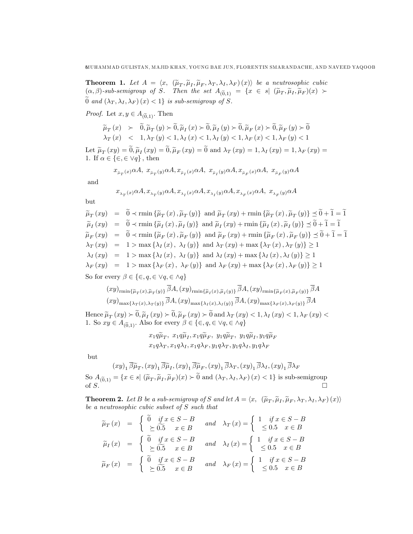**Theorem 1.** Let  $A = \langle x, (\tilde{\mu}_T, \tilde{\mu}_I, \tilde{\mu}_F, \lambda_I, \lambda_I, \lambda_F)(x) \rangle$  be a neutrosophic cubic<br>(e.g. ) with continuum of  $S = \mathbb{E}[\mathbf{w}_T, \tilde{\mu}_I, \lambda_I, \lambda_I]$  (e.g. )  $(\tilde{\lambda} \times \tilde{\lambda} \times \tilde{\lambda}_I)(x)$ )  $(\alpha, \beta)$ -sub-semigroup of S. Then the set  $A_{(\widetilde{0},1)} = \{x \in s | (\widetilde{\mu}_T, \widetilde{\mu}_I, \widetilde{\mu}_F)(x)$  $\widetilde{0}$  and  $(\lambda_T, \lambda_I, \lambda_F)(x) < 1$  is sub-semigroup of S.

*Proof.* Let  $x, y \in A_{(\widetilde{0},1)}$ . Then

$$
\widetilde{\mu}_{T}(x) \succ \widetilde{0}, \widetilde{\mu}_{T}(y) \succ \widetilde{0}, \widetilde{\mu}_{I}(x) \succ \widetilde{0}, \widetilde{\mu}_{I}(y) \succ \widetilde{0}, \widetilde{\mu}_{F}(x) \succ \widetilde{0}, \widetilde{\mu}_{F}(y) \succ \widetilde{0}
$$
\n
$$
\lambda_{T}(x) < 1, \lambda_{T}(y) < 1, \lambda_{I}(x) < 1, \lambda_{I}(y) < 1, \lambda_{F}(x) < 1, \lambda_{F}(y) < 1
$$

Let  $\widetilde{\mu}_T(xy) = 0$ ,  $\widetilde{\mu}_I(xy) = 0$ ,  $\widetilde{\mu}_F(xy) = 0$  and  $\lambda_T(xy) = 1$ ,  $\lambda_I(xy) = 1$ ,  $\lambda_F(xy) = 1$ 1. If  $\alpha \in \{\in, \in \vee q\}$ , then

$$
x_{\tilde{\mu}_T(x)}\alpha A, \ x_{\tilde{\mu}_T(y)}\alpha A, x_{\tilde{\mu}_I(x)}\alpha A, \ x_{\tilde{\mu}_I(y)}\alpha A, x_{\tilde{\mu}_F(x)}\alpha A, \ x_{\tilde{\mu}_F(y)}\alpha A
$$

and

$$
x_{\scriptscriptstyle \lambda_T(x)}\alpha A, x_{\scriptscriptstyle \lambda_T(y)}\alpha A, x_{\scriptscriptstyle \lambda_I(x)}\alpha A, x_{\scriptscriptstyle \lambda_I(y)}\alpha A, x_{\scriptscriptstyle \lambda_F(x)}\alpha A, ~x_{\scriptscriptstyle \lambda_F(y)}\alpha A
$$

but

$$
\widetilde{\mu}_T(xy) = 0 \prec \min{\{\widetilde{\mu}_T(x), \widetilde{\mu}_T(y)\}} \text{ and } \widetilde{\mu}_T(xy) + \min{\{\widetilde{\mu}_T(x), \widetilde{\mu}_T(y)\}} \le 0 + 1 = 1
$$
\n
$$
\widetilde{\mu}_I(xy) = \widetilde{0} \prec \min{\{\widetilde{\mu}_I(x), \widetilde{\mu}_I(y)\}} \text{ and } \widetilde{\mu}_I(xy) + \min{\{\widetilde{\mu}_I(x), \widetilde{\mu}_I(y)\}} \le 0 + 1 = 1
$$
\n
$$
\widetilde{\mu}_F(xy) = \widetilde{0} \prec \min{\{\widetilde{\mu}_F(x), \widetilde{\mu}_F(y)\}} \text{ and } \widetilde{\mu}_F(xy) + \min{\{\widetilde{\mu}_F(x), \widetilde{\mu}_F(y)\}} \le 0 + 1 = 1
$$
\n
$$
\lambda_T(xy) = 1 > \max{\{\lambda_I(x), \lambda_I(y)\}} \text{ and } \lambda_T(xy) + \max{\{\lambda_T(x), \lambda_T(y)\}} \ge 1
$$
\n
$$
\lambda_I(xy) = 1 > \max{\{\lambda_I(x), \lambda_I(y)\}} \text{ and } \lambda_I(xy) + \max{\{\lambda_I(x), \lambda_I(y)\}} \ge 1
$$
\n
$$
\lambda_F(xy) = 1 > \max{\{\lambda_F(x), \lambda_F(y)\}} \text{ and } \lambda_F(xy) + \max{\{\lambda_F(x), \lambda_F(y)\}} \ge 1
$$

So for every  $\beta \in \{\in, q, \in \vee q, \in \wedge q\}$ 

$$
(xy)_{\min\{\widetilde{\mu}_T(x),\widetilde{\mu}_T(y)\}} \overline{\beta}A, (xy)_{\min\{\widetilde{\mu}_I(x),\widetilde{\mu}_I(y)\}} \overline{\beta}A, (xy)_{\min\{\widetilde{\mu}_F(x),\widetilde{\mu}_F(y)\}} \overline{\beta}A
$$

$$
(xy)_{\max\{\lambda_T(x),\lambda_T(y)\}} \overline{\beta}A, (xy)_{\max\{\lambda_I(x),\lambda_I(y)\}} \overline{\beta}A, (xy)_{\max\{\lambda_F(x),\lambda_F(y)\}} \overline{\beta}A
$$

Hence  $\widetilde{\mu}_T(xy) \succ 0$ ,  $\widetilde{\mu}_T(xy) \succ 0$ ,  $\widetilde{\mu}_F(xy) \succ 0$  and  $\lambda_T(xy) < 1$ ,  $\lambda_I(xy) < 1$ ,  $\lambda_F(xy) < 1$ 1. So  $xy \in A_{(0,1)}$ . Also for every  $\beta \in \{\in, q, \in \vee q, \in \wedge q\}$ 

$$
x_1q\widetilde{\mu}_T, x_1q\widetilde{\mu}_I, x_1q\widetilde{\mu}_F, y_1q\widetilde{\mu}_T, y_1q\widetilde{\mu}_I, y_1q\widetilde{\mu}_F x_1q\lambda_T, x_1q\lambda_I, x_1q\lambda_F, y_1q\lambda_T, y_1q\lambda_I, y_1q\lambda_F
$$

but

$$
(xy)_1\overline{\beta}\widetilde{\mu}_T, (xy)_1\overline{\beta}\widetilde{\mu}_I, (xy)_1\overline{\beta}\widetilde{\mu}_F, (xy)_1\overline{\beta}\lambda_T, (xy)_1\overline{\beta}\lambda_I, (xy)_1\overline{\beta}\lambda_F
$$

So  $A_{(\widetilde{0},1)} = \{x \in s \mid (\widetilde{\mu}_T, \widetilde{\mu}_I, \widetilde{\mu}_F)(x) \succ 0 \text{ and } (\lambda_T, \lambda_I, \lambda_F)(x) < 1\}$  is sub-semigroup of S.

**Theorem 2.** Let B be a sub-semigroup of S and let  $A = \langle x, \; (\widetilde{\mu}_T, \widetilde{\mu}_I, \widetilde{\mu}_F, \lambda_T, \lambda_I, \lambda_F) (x) \rangle$ be a neutrosophic cubic subset of S such that

$$
\widetilde{\mu}_T(x) = \begin{cases}\n\widetilde{0} & \text{if } x \in S - B \\
\leq \widetilde{0.5} & x \in B\n\end{cases} \text{ and } \lambda_T(x) = \begin{cases}\n1 & \text{if } x \in S - B \\
\leq 0.5 & x \in B\n\end{cases}
$$
\n
$$
\widetilde{\mu}_T(x) = \begin{cases}\n\widetilde{0} & \text{if } x \in S - B \\
\geq \widetilde{0.5} & x \in B\n\end{cases} \text{ and } \lambda_T(x) = \begin{cases}\n1 & \text{if } x \in S - B \\
\leq 0.5 & x \in B\n\end{cases}
$$
\n
$$
\widetilde{\mu}_F(x) = \begin{cases}\n\widetilde{0} & \text{if } x \in S - B \\
\geq \widetilde{0.5} & x \in B\n\end{cases} \text{ and } \lambda_F(x) = \begin{cases}\n1 & \text{if } x \in S - B \\
\leq 0.5 & x \in B\n\end{cases}
$$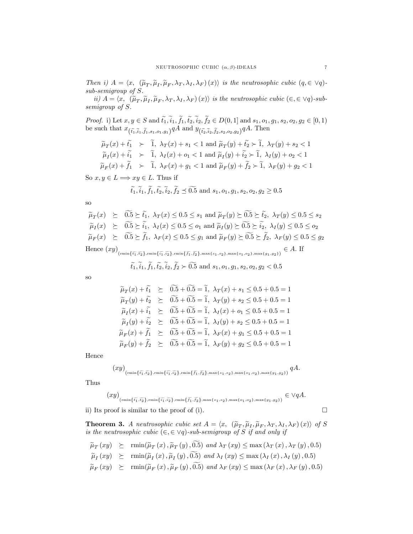Then i)  $A = \langle x, (\tilde{\mu}_T, \tilde{\mu}_I, \tilde{\mu}_F, \lambda_T, \lambda_I, \lambda_F)(x) \rangle$  is the neutrosophic cubic  $(q, \in \forall q)$ .  $sub-semigroup$  of  $S$ .

ii)  $A = \langle x, \hat{\mu}_T, \tilde{\mu}_I, \tilde{\mu}_F, \lambda_T, \lambda_I, \lambda_F \rangle(x) \rangle$  is the neutrosophic cubic  $(\epsilon, \epsilon \vee q)$ -subsemigroup of S.

*Proof.* i) Let  $x, y \in S$  and  $\tilde{t_1}, \tilde{i_1}, \tilde{f_1}, \tilde{t_2}, \tilde{i_2}, \tilde{f_2} \in D(0, 1]$  and  $s_1, o_1, g_1, s_2, o_2, g_2 \in [0, 1)$ be such that  $x_{(\tilde{t_1}, \tilde{t}_1, \tilde{t}_1, s_1, o_1, g_1)} qA$  and  $y_{(\tilde{t_2}, \tilde{t}_2, \tilde{t}_2, s_2, o_2, g_2)} qA$ . Then

$$
\widetilde{\mu}_T(x) + \widetilde{t}_1 \succ \widetilde{1}, \ \lambda_T(x) + s_1 < 1 \text{ and } \widetilde{\mu}_T(y) + \widetilde{t}_2 \succ \widetilde{1}, \ \lambda_T(y) + s_2 < 1
$$
\n
$$
\widetilde{\mu}_I(x) + \widetilde{i}_1 \succ \widetilde{1}, \ \lambda_I(x) + o_1 < 1 \text{ and } \widetilde{\mu}_I(y) + \widetilde{i}_2 \succ \widetilde{1}, \ \lambda_I(y) + o_2 < 1
$$
\n
$$
\widetilde{\mu}_F(x) + \widetilde{f}_1 \succ \widetilde{1}, \ \lambda_F(x) + g_1 < 1 \text{ and } \widetilde{\mu}_F(y) + \widetilde{f}_2 \succ \widetilde{1}, \ \lambda_F(y) + g_2 < 1
$$

So  $x, y \in L \Longrightarrow xy \in L$ . Thus if

 $\tilde{l}$ 

$$
\widetilde{t_1}, \widetilde{i}_1, \widetilde{f_1}, \widetilde{t_2}, \widetilde{i}_2, \widetilde{f_2} \preceq \widetilde{0.5}
$$
 and  $s_1, o_1, g_1, s_2, o_2, g_2 \geq 0.5$ 

 $SO$ 

$$
\widetilde{\mu}_T(x) \succeq \widetilde{0.5} \succeq \widetilde{t_1}, \ \lambda_T(x) \le 0.5 \le s_1 \text{ and } \widetilde{\mu}_T(y) \succeq \widetilde{0.5} \succeq \widetilde{t_2}, \ \lambda_T(y) \le 0.5 \le s_2
$$
\n
$$
\widetilde{\mu}_I(x) \succeq \widetilde{0.5} \succeq \widetilde{t_1}, \ \lambda_I(x) \le 0.5 \le o_1 \text{ and } \widetilde{\mu}_I(y) \succeq \widetilde{0.5} \succeq \widetilde{t_2}, \ \lambda_I(y) \le 0.5 \le o_2
$$
\n
$$
\widetilde{\mu}_F(x) \succeq \widetilde{0.5} \succeq \widetilde{f_1}, \ \lambda_F(x) \le 0.5 \le g_1 \text{ and } \widetilde{\mu}_F(y) \succeq \widetilde{0.5} \succeq \widetilde{f_2}, \ \lambda_F(y) \le 0.5 \le g_2
$$

 $\text{Hence } (xy)_{(\min\{\widetilde{t_1},\widetilde{t_2}\},\min\{\widetilde{t_1},\widetilde{t_2}\},\min\{\widetilde{f_1},\widetilde{f_2}\},\max\{s_1,s_2\},\max\{o_1,o_2\},\max\{g_1,g_2\})} \in A. \text{ If }$ 

$$
\tilde{t_1}, \tilde{i_1}, \tilde{f_1}, \tilde{t_2}, \tilde{i_2}, \tilde{f_2} \succ 0.5
$$
 and  $s_1, o_1, g_1, s_2, o_2, g_2 < 0.5$ 

 $SO$ 

$$
\widetilde{\mu}_T(x) + \widetilde{t}_1 \geq 0.5 + 0.5 = \widetilde{1}, \ \lambda_T(x) + s_1 \leq 0.5 + 0.5 = 1 \n\widetilde{\mu}_T(y) + \widetilde{t}_2 \geq 0.5 + 0.5 = \widetilde{1}, \ \lambda_T(y) + s_2 \leq 0.5 + 0.5 = 1 \n\widetilde{\mu}_I(x) + \widetilde{t}_1 \geq 0.5 + 0.5 = \widetilde{1}, \ \lambda_I(x) + o_1 \leq 0.5 + 0.5 = 1 \n\widetilde{\mu}_I(y) + \widetilde{t}_2 \geq 0.5 + 0.5 = \widetilde{1}, \ \lambda_I(y) + s_2 \leq 0.5 + 0.5 = 1 \n\widetilde{\mu}_F(x) + \widetilde{f}_1 \geq 0.5 + 0.5 = \widetilde{1}, \ \lambda_F(x) + g_1 \leq 0.5 + 0.5 = 1 \n\widetilde{\mu}_F(y) + \widetilde{f}_2 \geq 0.5 + 0.5 = \widetilde{1}, \ \lambda_F(y) + g_2 \leq 0.5 + 0.5 = 1
$$

Hence

$$
xy\big)_{\text{(rmin}\{\widetilde{t_1},\widetilde{t_2}\},\text{rmin}\{\widetilde{i_1},\widetilde{i_2}\},\text{rmin}\{\widetilde{f_1},\widetilde{f_2}\},\text{max}\{s_1,s_2\},\text{max}\{o_1,o_2\},\text{max}\{g_1,g_2\})}qA
$$

Thus

$$
(xy)_{(r\min\{\widetilde{t_1}, \widetilde{t_2}\}, r\min\{\widetilde{t_1}, \widetilde{t_2}\}, r\min\{\widetilde{f_1}, \widetilde{f_2}\}, \max\{s_1, s_2\}, \max\{o_1, o_2\}, \max\{g_1, g_2\})} \in \vee qA
$$

ii) Its proof is similar to the proof of (i).

**Theorem 3.** A neutrosophic cubic set  $A = \langle x, (\tilde{\mu}_T, \tilde{\mu}_I, \tilde{\mu}_F, \lambda_T, \lambda_I, \lambda_F)(x) \rangle$  of S is the neutrosophic cubic  $(\in, \in \vee q)$ -sub-semigroup of S if and only if

$$
\widetilde{\mu}_T(xy) \succeq \min(\widetilde{\mu}_T(x), \widetilde{\mu}_T(y), 0.5) \text{ and } \lambda_T(xy) \leq \max(\lambda_T(x), \lambda_T(y), 0.5)
$$

 $\widetilde{\mu}_I(xy) \ge \min(\widetilde{\mu}_I(x), \widetilde{\mu}_I(y), \widetilde{0.5})$  and  $\lambda_I(xy) \le \max(\lambda_I(x), \lambda_I(y), 0.5)$ 

$$
\widetilde{\mu}_{F}(xy) \succeq \min(\widetilde{\mu}_{F}(x), \widetilde{\mu}_{F}(y), 0.5) \text{ and } \lambda_{F}(xy) \le \max(\lambda_{F}(x), \lambda_{F}(y), 0.5)
$$

 $\Box$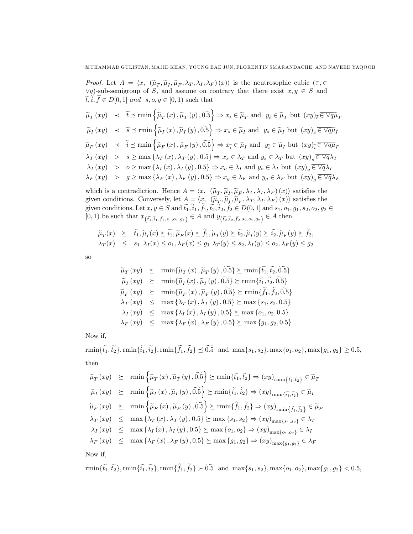*Proof.* Let  $A = \langle x, (\tilde{\mu}_T, \tilde{\mu}_I, \tilde{\mu}_F, \lambda_T, \lambda_I, \lambda_F)(x) \rangle$  is the neutrosophic cubic  $(\in, \in$  $\forall q$ )-sub-semigroup of S, and assume on contrary that there exist  $x, y \in S$  and  $\widetilde{t}, \widetilde{i}, \widetilde{f} \in D[0,1]$  and  $s, o, g \in [0,1)$  such that

 $\widetilde{\mu}_T\left(xy\right) \quad \prec \quad \widetilde{t} \preceq \min\left\{\widetilde{\mu}_T\left(x\right),\widetilde{\mu}_T\left(y\right),\widetilde{0.5} \right\} \Rightarrow x_{\widetilde{t}} \in \widetilde{\mu}_T \text{ and } y_{\widetilde{t}} \in \widetilde{\mu}_T \text{ but } (xy)_{\widetilde{t}} \overline{\in} \; \overline{\vee q} \widetilde{\mu}_T$  $\widetilde{\mu}_I\left(xy\right) \hspace{3mm} \prec \hspace{3mm} \widetilde{s} \preceq \min\left\{\widetilde{\mu}_I\left(x\right), \widetilde{\mu}_I\left(y\right), \widetilde{0.5}\right\} \Rightarrow x_{\widetilde{s}} \in \widetilde{\mu}_I \text{ and } \hspace{3mm} y_{\widetilde{s}} \in \widetilde{\mu}_I \text{ but } (xy)_{\widetilde{s}} \overline{\in \vee q} \widetilde{\mu}_I$  $\widetilde{\mu}_F\left(xy\right) \hspace{0.2cm} \prec \hspace{0.2cm} \widetilde{i} \preceq \operatorname{rmin}\left\{\widetilde{\mu}_F\left(x\right), \widetilde{\mu}_F\left(y\right), \widetilde{0.5}\right\} \Rightarrow x_{\widetilde{i}} \in \widetilde{\mu}_I \text{ and } \hspace{0.2cm} y_{\widetilde{i}} \in \widetilde{\mu}_I \text{ but } (xy)_{\widetilde{i}} \overline{\in \vee q} \widetilde{\mu}_F$  $\lambda_T(xy) > s \ge \max\{\lambda_T(x), \lambda_T(y), 0.5\} \Rightarrow x_s \in \lambda_T \text{ and } y_s \in \lambda_T \text{ but } (xy)_s \in \overline{\vee q} \lambda_T$  $\lambda_I(xy) > o \ge \max \{\lambda_I(x), \lambda_I(y), 0.5\} \Rightarrow x_o \in \lambda_I \text{ and } y_o \in \lambda_I \text{ but } (xy)_o \in \overline{\vee q} \lambda_I$  $\lambda_F(xy) > g \ge \max \{\lambda_F(x), \lambda_F(y), 0.5\} \Rightarrow x_g \in \lambda_F \text{ and } y_g \in \lambda_F \text{ but } (xy)_g \in \overline{\vee q} \lambda_F$ 

which is a contradiction. Hence  $A = \langle x, (\tilde{\mu}_T, \tilde{\mu}_I, \tilde{\mu}_F, \lambda_T, \lambda_I, \lambda_F)(x) \rangle$  satisfies the given conditions. Conversely, let  $A = \langle x, (\tilde{\mu}_T, \tilde{\mu}_I, \tilde{\mu}_F, \lambda_T, \lambda_I, \lambda_F)(x) \rangle$  satisfies the given conditions. Let  $x, y \in S$  and  $\tilde{t}_1, \tilde{t}_1, \tilde{t}_1, \tilde{t}_2, \tilde{t}_2, \tilde{t}_2 \in D(0, 1]$  and  $s_1, o_1, g_1, s_2, o_2, g_2 \in D(0, 1]$  $[0,1)$  be such that  $x_{(\tilde{t}_1,\tilde{t}_1,\tilde{t}_1,s_1,o_1,g_1)} \in A$  and  $y_{(\tilde{t}_2,\tilde{t}_2,\tilde{t}_2,s_2,o_2,g_2)} \in A$  then

$$
\widetilde{\mu}_T(x) \geq \widetilde{t}_1, \widetilde{\mu}_I(x) \geq \widetilde{t}_1, \widetilde{\mu}_F(x) \geq \widetilde{f}_1, \widetilde{\mu}_T(y) \geq \widetilde{t}_2, \widetilde{\mu}_I(y) \geq \widetilde{t}_2, \widetilde{\mu}_F(y) \geq \widetilde{f}_2, \n\lambda_T(x) \leq s_1, \lambda_I(x) \leq o_1, \lambda_F(x) \leq g_1 \lambda_T(y) \leq s_2, \lambda_I(y) \leq o_2, \lambda_F(y) \leq g_2
$$

<sub>SO</sub>

$$
\widetilde{\mu}_{T}(xy) \succeq \min{\widetilde{\mu}_{T}(x), \widetilde{\mu}_{T}(y), 0.5} \succeq \min{\{t_{1}, t_{2}, 0.5\}}
$$
\n
$$
\widetilde{\mu}_{I}(xy) \succeq \min{\widetilde{\mu}_{I}(x), \widetilde{\mu}_{I}(y), 0.5} \succeq \min{\{\widetilde{i}_{1}, \widetilde{i}_{2}, 0.5\}}
$$
\n
$$
\widetilde{\mu}_{F}(xy) \succeq \min{\{\widetilde{\mu}_{F}(x), \widetilde{\mu}_{F}(y), 0.5\}} \succeq \min{\{\widetilde{f}_{1}, \widetilde{f}_{2}, 0.5\}}
$$
\n
$$
\lambda_{T}(xy) \leq \max{\{\lambda_{T}(x), \lambda_{T}(y), 0.5\}} \succeq \max{\{s_{1}, s_{2}, 0.5\}}
$$
\n
$$
\lambda_{I}(xy) \leq \max{\{\lambda_{I}(x), \lambda_{I}(y), 0.5\}} \succeq \max{\{o_{1}, o_{2}, 0.5\}}
$$
\n
$$
\lambda_{F}(xy) \leq \max{\{\lambda_{F}(x), \lambda_{F}(y), 0.5\}} \succeq \max{\{g_{1}, g_{2}, 0.5\}}
$$

Now if.

 $\min\{\tilde{t}_1, \tilde{t}_2\}, \min\{\tilde{t}_1, \tilde{t}_2\}, \min\{\tilde{f}_1, \tilde{f}_2\} \preceq 0.5$  and  $\max\{s_1, s_2\}, \max\{o_1, o_2\}, \max\{g_1, g_2\} \ge 0.5$ , then

$$
\widetilde{\mu}_{T}(xy) \succeq \min \left\{ \widetilde{\mu}_{T}(x), \widetilde{\mu}_{T}(y), 0.5 \right\} \succeq \min \{ \widetilde{t}_{1}, \widetilde{t}_{2} \} \Rightarrow (xy)_{\text{rmin} \{ \widetilde{t}_{1}, \widetilde{t}_{2} \}} \in \widetilde{\mu}_{T}
$$
\n
$$
\widetilde{\mu}_{I}(xy) \succeq \min \left\{ \widetilde{\mu}_{I}(x), \widetilde{\mu}_{I}(y), 0.5 \right\} \succeq \min \{ \widetilde{t}_{1}, \widetilde{t}_{2} \} \Rightarrow (xy)_{\text{rmin} \{ \widetilde{t}_{1}, \widetilde{t}_{2} \}} \in \widetilde{\mu}_{I}
$$
\n
$$
\widetilde{\mu}_{F}(xy) \succeq \min \left\{ \widetilde{\mu}_{F}(x), \widetilde{\mu}_{F}(y), 0.5 \right\} \succeq \min \{ \widetilde{f}_{1}, \widetilde{f}_{2} \} \Rightarrow (xy)_{\text{rmin} \{ \widetilde{f}_{1}, \widetilde{f}_{2} \}} \in \widetilde{\mu}_{F}
$$
\n
$$
\lambda_{T}(xy) \leq \max \left\{ \lambda_{T}(x), \lambda_{T}(y), 0.5 \right\} \succeq \max \left\{ s_{1}, s_{2} \right\} \Rightarrow (xy)_{\text{max} \{ s_{1}, s_{2} \}} \in \lambda_{T}
$$
\n
$$
\lambda_{I}(xy) \leq \max \left\{ \lambda_{I}(x), \lambda_{I}(y), 0.5 \right\} \succeq \max \left\{ o_{1}, o_{2} \right\} \Rightarrow (xy)_{\text{max} \{ o_{1}, o_{2} \}} \in \lambda_{I}
$$
\n
$$
\lambda_{F}(xy) \leq \max \left\{ \lambda_{F}(x), \lambda_{F}(y), 0.5 \right\} \succeq \max \left\{ g_{1}, g_{2} \right\} \Rightarrow (xy)_{\text{max} \{ g_{1}, g_{2} \}} \in \lambda_{F}
$$

Now if.

 $\min\{\tilde{t_1},\tilde{t_2}\},\allowbreak\min\{\tilde{i_1},\tilde{i_2}\},\allowbreak\min\{\tilde{f_1},\tilde{f_2}\}\succ\widetilde{0.5}\;\;\text{and}\;\max\{s_1,s_2\},\max\{o_1,o_2\},\max\{g_1,g_2\}<0.5,$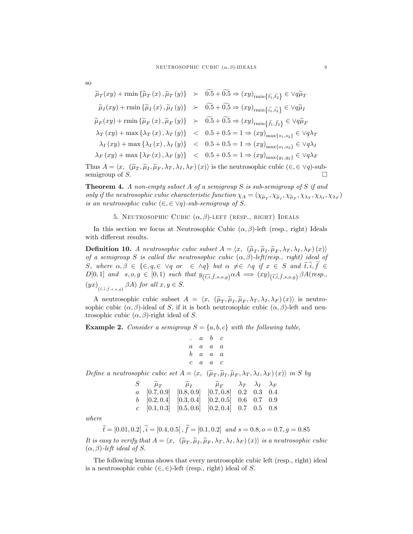$$
\widetilde{\mu}_T(xy) + \min \{\widetilde{\mu}_T(x), \widetilde{\mu}_T(y)\} \succ \widetilde{0.5} + \widetilde{0.5} \Rightarrow (xy)_{\text{rmin}}\{\widetilde{t}_1, \widetilde{t}_2\} \in \forall q \widetilde{\mu}_T
$$
\n
$$
\widetilde{\mu}_I(xy) + \min \{\widetilde{\mu}_I(x), \widetilde{\mu}_I(y)\} \succ \widetilde{0.5} + \widetilde{0.5} \Rightarrow (xy)_{\text{rmin}}\{\widetilde{t}_1, \widetilde{t}_2\} \in \forall q \widetilde{\mu}_I
$$
\n
$$
\widetilde{\mu}_F(xy) + \min \{\widetilde{\mu}_F(x), \widetilde{\mu}_F(y)\} \succ \widetilde{0.5} + \widetilde{0.5} \Rightarrow (xy)_{\text{rmin}}\{\widetilde{t}_1, \widetilde{t}_2\} \in \forall q \widetilde{\mu}_F
$$
\n
$$
\lambda_T(xy) + \max \{\lambda_T(x), \lambda_T(y)\} \prec 0.5 + 0.5 = 1 \Rightarrow (xy)_{\text{max}}\{\widetilde{t}_1, s_2\} \in \forall q \lambda_T
$$
\n
$$
\lambda_I(xy) + \max \{\lambda_I(x), \lambda_I(y)\} \prec 0.5 + 0.5 = 1 \Rightarrow (xy)_{\text{max}}\{\widetilde{t}_1, s_2\} \in \forall q \lambda_T
$$
\n
$$
\lambda_F(xy) + \max \{\lambda_F(x), \lambda_F(y)\} \prec 0.5 + 0.5 = 1 \Rightarrow (xy)_{\text{max}}\{\widetilde{t}_1, s_2\} \in \forall q \lambda_F
$$

Thus  $A = \langle x, (\tilde{\mu}_T, \tilde{\mu}_I, \tilde{\mu}_F, \lambda_T, \lambda_I, \lambda_F) (x) \rangle$  is the neutrosophic cubic  $(\epsilon, \epsilon \vee q)$ -sub-<br>
semi-means of C semigroup of S.  $\Box$ 

**Theorem 4.** A non-empty subset A of a semigroup  $S$  is sub-semigroup of  $S$  if and only if the neutrosophic cubic characteristic function  $\chi_A = (\chi_{\tilde{\mu}_T}, \chi_{\tilde{\mu}_I}, \chi_{\tilde{\mu}_F}, \chi_{\lambda_T}, \chi_{\lambda_I}, \chi_{\lambda_F})$ is an neutrosophic cubic  $(\in, \in \vee q)$ -sub-semigroup of S.

### 5. NEUTROSOPHIC CUBIC  $(\alpha, \beta)$ -LEFT (RESP., RIGHT) IDEALS

In this section we focus at Neutrosophic Cubic  $(\alpha, \beta)$ -left (resp., right) Ideals with different results.

**Definition 10.** A neutrosophic cubic subset  $A = \langle x, (\tilde{\mu}_T, \tilde{\mu}_I, \tilde{\mu}_I, \lambda_T, \lambda_I, \lambda_F)(x) \rangle$ of a semigroup S is called the neutrosophic cubic  $(\alpha, \beta)$ -left(resp., right) ideal of S, where  $\alpha, \beta \in \{\in, q, \in \forall q \text{ or } \in \wedge q\}$  but  $\alpha \neq \in \wedge q$  if  $x \in S$  and  $\widetilde{t}, \widetilde{i}, \widetilde{f} \in$  $D[0,1]$  and  $s, o, g \in [0,1)$  such that  $y_{(\tilde{t}, \tilde{i}, \tilde{f}, s, o,g)} \alpha A \implies (xy)_{(\tilde{t}, \tilde{i}, \tilde{f}, s, o,g)} \beta A (resp.,$  $(yx)_{(\tilde{t},\tilde{i},\tilde{f},s,o,g)} \beta A$  for all  $x,y \in S$ .

A neutrosophic cubic subset  $A = \langle x, (\tilde{\mu}_T, \tilde{\mu}_I, \tilde{\mu}_F, \lambda_T, \lambda_I, \lambda_F)(x) \rangle$  is neutrosophic cubic  $(\alpha, \beta)$ -ideal of S, if it is both neutrosophic cubic  $(\alpha, \beta)$ -left and neutrosophic cubic  $(\alpha, \beta)$ -right ideal of S.

**Example 2.** Consider a semigroup  $S = \{a, b, c\}$  with the following table,

$$
\begin{array}{ccccccccc} . & a & b & c \\ a & a & a & a \\ b & a & a & a \\ c & a & a & c \end{array}
$$

Define a neutrosophic cubic set  $A = \langle x, \; (\tilde{\mu}_T, \tilde{\mu}_I, \tilde{\mu}_F, \lambda_T, \lambda_I, \lambda_F) (x) \rangle$  in S by

| $S \qquad \widetilde{\mu}_T \qquad \qquad \widetilde{\mu}_I \qquad \qquad \widetilde{\mu}_F \qquad \lambda_T \quad \lambda_I \quad \lambda_F$ |  |  |  |
|-----------------------------------------------------------------------------------------------------------------------------------------------|--|--|--|
| $a \quad [0.7, 0.9] \quad [0.8, 0.9] \quad [0.7, 0.8] \quad 0.2 \quad 0.3 \quad 0.4$                                                          |  |  |  |
| $b$ [0.2, 0.4] [0.3, 0.4] [0.2, 0.5] 0.6 0.7 0.9                                                                                              |  |  |  |
| $c$ [0.1, 0.3] [0.5, 0.6] [0.2, 0.4] 0.7 0.5 0.8                                                                                              |  |  |  |

where

 $\widetilde{t} = [0.01, 0.2], \widetilde{i} = [0.4, 0.5], \widetilde{f} = [0.1, 0.2]$  and  $s = 0.8, o = 0.7, g = 0.85$ It is easy to verify that  $A = \langle x, \vert (\tilde{\mu}_T, \tilde{\mu}_I, \tilde{\mu}_F, \lambda_T, \lambda_I, \lambda_F) (x) \rangle$  is a neutrosophic cubic<br>(i. 2) is this shall of S  $(\alpha, \beta)$ -left ideal of S.

The following lemma shows that every neutrosophic cubic left (resp., right) ideal is a neutrosophic cubic  $(\in, \in)$ -left (resp., right) ideal of S.

so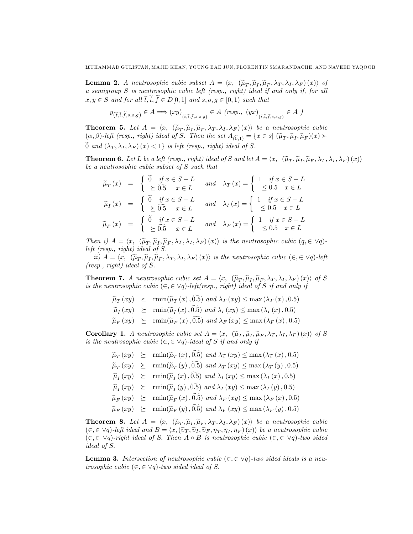**Lemma 2.** A neutrosophic cubic subset  $A = \langle x, (\tilde{\mu}_T, \tilde{\mu}_I, \tilde{\mu}_F, \lambda_T, \lambda_I, \lambda_F)(x) \rangle$  of a semigroup S is neutrosophic cubic left (resp., right) ideal if and only if, for all  $x, y \in S$  and for all  $\widetilde{t}, \widetilde{i}, \widetilde{f} \in D[0,1]$  and  $s, o, g \in [0,1)$  such that

$$
y_{\left(\tilde{t},\tilde{i},\tilde{f},s,o,g\right)} \in A \Longrightarrow (xy)_{\left(\tilde{t},\tilde{i},\tilde{f},s,o,g\right)} \in A \text{ (resp., } (yx)_{\left(\tilde{t},\tilde{i},\tilde{f},s,o,g\right)} \in A \text{ )}
$$

**Theorem 5.** Let  $A = \langle x, (\tilde{\mu}_T, \tilde{\mu}_I, \tilde{\mu}_F, \lambda_T, \lambda_I, \lambda_F)(x) \rangle$  be a neutrosophic cubic<br> $\langle e, \lambda \rangle$  is the integral of  $G$  of  $\mathbb{R}^n$ .  $(\alpha, \beta)$ -left (resp., right) ideal of S. Then the set  $A_{(\widetilde{0},1)} = \{x \in s | (\widetilde{\mu}_T, \widetilde{\mu}_I, \widetilde{\mu}_F)(x) \succ$  $\widetilde{0}$  and  $(\lambda_T, \lambda_I, \lambda_F)(x) < 1$  is left (resp., right) ideal of S.

**Theorem 6.** Let L be a left (resp., right) ideal of S and let  $A = \langle x, \; (\widetilde{\mu}_T, \widetilde{\mu}_I, \widetilde{\mu}_F, \lambda_T, \lambda_I, \lambda_F) (x) \rangle$ be a neutrosophic cubic subset of S such that

$$
\widetilde{\mu}_T(x) = \begin{cases}\n\widetilde{0} & \text{if } x \in S - L \\
\leq \widetilde{0.5} & x \in L\n\end{cases} \text{ and } \lambda_T(x) = \begin{cases}\n1 & \text{if } x \in S - L \\
\leq 0.5 & x \in L\n\end{cases}
$$
\n
$$
\widetilde{\mu}_I(x) = \begin{cases}\n\widetilde{0} & \text{if } x \in S - L \\
\geq \widetilde{0.5} & x \in L\n\end{cases} \text{ and } \lambda_I(x) = \begin{cases}\n1 & \text{if } x \in S - L \\
\leq 0.5 & x \in L\n\end{cases}
$$
\n
$$
\widetilde{\mu}_F(x) = \begin{cases}\n\widetilde{0} & \text{if } x \in S - L \\
\geq \widetilde{0.5} & x \in L\n\end{cases} \text{ and } \lambda_F(x) = \begin{cases}\n1 & \text{if } x \in S - L \\
\leq 0.5 & x \in L\n\end{cases}
$$

Then i)  $A = \langle x, \; (\tilde{\mu}_T, \tilde{\mu}_I, \tilde{\mu}_F, \lambda_T, \lambda_I, \lambda_F) (x) \rangle$  is the neutrosophic cubic  $(q, \in \forall q)$ left (resp., right) ideal of S.

 $ii)$   $A = \langle x, (\tilde{\mu}_T, \tilde{\mu}_I, \tilde{\mu}_F, \lambda_T, \lambda_I, \lambda_F) (x) \rangle$  is the neutrosophic cubic  $(\in, \in \forall q)$ -left (resp., right) ideal of S.

**Theorem 7.** A neutrosophic cubic set  $A = \langle x, (\tilde{\mu}_T, \tilde{\mu}_I, \tilde{\mu}_F, \lambda_T, \lambda_I, \lambda_F)(x) \rangle$  of S is the neutrosophic cubic  $(\epsilon, \epsilon \vee q)$ -left(resp., right) ideal of S if and only if

 $\widetilde{\mu}_T(xy) \ge \min(\widetilde{\mu}_T(x), 0.5) \text{ and } \lambda_T(xy) \le \max(\lambda_T(x), 0.5)$ 

$$
\widetilde{\mu}_I(xy) \succeq \min(\widetilde{\mu}_I(x), 0.5) \text{ and } \lambda_I(xy) \leq \max(\lambda_I(x), 0.5)
$$

 $\widetilde{\mu}_F (xy) \geq \min(\widetilde{\mu}_F (x), 0.5) \text{ and } \lambda_F (xy) \leq \max (\lambda_F (x), 0.5)$ 

**Corollary 1.** A neutrosophic cubic set  $A = \langle x, (\tilde{\mu}_T, \tilde{\mu}_I, \tilde{\mu}_F, \lambda_T, \lambda_I, \lambda_F)(x) \rangle$  of S is the neutrosophic cubic  $(\epsilon, \epsilon \vee q)$ -ideal of S if and only if

$$
\widetilde{\mu}_T(xy) \succeq \min(\widetilde{\mu}_T(x), 0.5) \text{ and } \lambda_T(xy) \leq \max(\lambda_T(x), 0.5)
$$

 $\widetilde{\mu}_T(xy) \ge \min(\widetilde{\mu}_T(y), 0.5) \text{ and } \lambda_T(xy) \le \max(\lambda_T(y), 0.5)$ 

$$
\widetilde{\mu}_I(xy) \succeq \min(\widetilde{\mu}_I(x), 0.5) \text{ and } \lambda_I(xy) \leq \max(\lambda_I(x), 0.5)
$$

- $\widetilde{\mu}_I(xy) \ge \text{rmin}(\widetilde{\mu}_I(y), 0.5) \text{ and } \lambda_I(xy) \le \text{max}(\lambda_I(y), 0.5)$
- $\widetilde{\mu}_F (xy) \geq \min(\widetilde{\mu}_F (x), \widetilde{0.5})$  and  $\lambda_F (xy) \leq \max (\lambda_F (x), 0.5)$
- $\widetilde{\mu}_F (xy) \succeq \min(\widetilde{\mu}_F (y), \widetilde{0.5}) \text{ and } \lambda_F (xy) \leq \max(\lambda_F (y), 0.5)$

**Theorem 8.** Let  $A = \langle x, (\tilde{\mu}_T, \tilde{\mu}_I, \tilde{\mu}_F, \lambda_I, \lambda_I, \lambda_F)(x) \rangle$  be a neutrosophic cubic<br>( $\xi \in \mathcal{L}(\mathcal{L})$ ) left ideal and  $B = \langle x, (\tilde{\mu}_T, \tilde{\mu}_I, \tilde{\mu}_F, \lambda_I, \lambda_I, \lambda_F)(x) \rangle$  be a neutrosophic cubic  $(\epsilon, \epsilon \vee q)$ -left ideal and  $B = \langle x, (\tilde{\nu}_T, \tilde{\nu}_I, \tilde{\nu}_F, \eta_T, \eta_I, \eta_F) (x) \rangle$  be a neutrosophic cubic<br> $(\epsilon, \epsilon)$  (c) with ideal of  $S$ . Then  $A \circ B$  is neutroscalic value  $(\epsilon, \epsilon)$  (c) thus sided  $(\epsilon, \epsilon \vee q)$ -right ideal of S. Then  $A \circ B$  is neutrosophic cubic  $(\epsilon, \epsilon \vee q)$ -two sided ideal of S.

**Lemma 3.** Intersection of neutrosophic cubic  $(\in, \in \vee q)$ -two sided ideals is a neutrosophic cubic  $(\in, \in \vee q)$ -two sided ideal of S.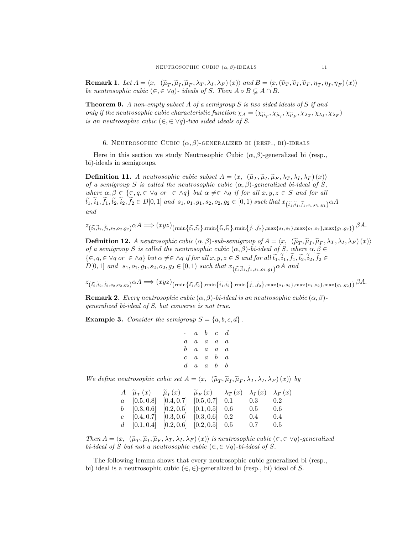**Remark 1.** Let  $A = \langle x, \langle \tilde{\mu}_T, \tilde{\mu}_I, \tilde{\mu}_F, \lambda_T, \lambda_I, \lambda_F \rangle(x) \rangle$  and  $B = \langle x, (\tilde{\nu}_T, \tilde{\nu}_I, \tilde{\nu}_F, \eta_T, \eta_I, \eta_F)(x) \rangle$ be neutrosophic cubic  $(\in, \in \forall q)$ - ideals of S. Then  $A \circ B \subsetneq A \cap B$ .

**Theorem 9.** A non-empty subset A of a semigroup S is two sided ideals of S if and only if the neutrosophic cubic characteristic function  $\chi_A = (\chi_{\tilde{\mu}_T}, \chi_{\tilde{\mu}_I}, \chi_{\tilde{\mu}_F}, \chi_{\lambda_T}, \chi_{\lambda_I}, \chi_{\lambda_F})$ is an neutrosophic cubic  $(\in, \in \vee q)$ -two sided ideals of S.

6. NEUTROSOPHIC CUBIC  $(\alpha, \beta)$ -GENERALIZED BI (RESP., BI)-IDEALS

Here in this section we study Neutrosophic Cubic  $(\alpha, \beta)$ -generalized bi (resp., bi)-ideals in semigroups.

**Definition 11.** A neutrosophic cubic subset  $A = \langle x, (\tilde{\mu}_T, \tilde{\mu}_I, \tilde{\mu}_F, \lambda_T, \lambda_I, \lambda_F)(x) \rangle$ of a semigroup S is called the neutrosophic cubic  $(\alpha, \beta)$ -generalized bi-ideal of S, where  $\alpha, \beta \in \{\in, q, \in \forall q \text{ or } \in \Delta q\}$  but  $\alpha \neq \in \Delta q$  if for all  $x, y, z \in S$  and for all  $t_1,i_1,f_1,t_2,i_2,f_2\in D[0,1]$  and  $s_1,o_1,g_1,s_2,o_2,g_2\in [0,1)$  such that  $x_{(\widetilde{t_1},\widetilde{i}_1,f_1,s_1,o_1,g_1)}\alpha A$ and

$$
z_{\left(\tilde{t}_2,\tilde{t}_2,\tilde{f}_2,s_2,o_2,g_2\right)}\alpha A \Longrightarrow (xyz)_{\left(\operatorname{rmin}\left\{\tilde{t}_1,\tilde{t}_2\right\},\operatorname{rmin}\left\{\tilde{t}_1,\tilde{t}_2\right\},\operatorname{rmin}\left\{\tilde{f}_1,\tilde{f}_2\right\},\operatorname{max}\left\{s_1,s_2\right\},\operatorname{max}\left\{o_1,o_2\right\},\operatorname{max}\left\{g_1,g_2\right\}\right)}\beta A.
$$

**Definition 12.** A neutrosophic cubic  $(\alpha, \beta)$ -sub-semigroup of  $A = \langle x, (\tilde{\mu}_T, \tilde{\mu}_I, \tilde{\mu}_F, \lambda_T, \lambda_I, \lambda_F)(x) \rangle$ of a semigroup S is called the neutrosophic cubic  $(\alpha, \beta)$ -bi-ideal of S, where  $\alpha, \beta \in$  $\{\in, q, \in \forall q \text{ or } \in \land q\}$  but  $\alpha \neq \in \land q$  if for all  $x, y, z \in S$  and for all  $\widetilde{t_1}, \widetilde{i_1}, \widetilde{f_1}, \widetilde{t_2}, \widetilde{i_2}, \widetilde{f_2} \in$  $D[0,1]$  and  $s_1, o_1, g_1, s_2, o_2, g_2 \in [0,1)$  such that  $x_{(\tilde{t_1}, \tilde{t_1}, \tilde{f_1}, s_1, o_1, g_1)} \alpha A$  and

 $z_{(\tilde{t_2}, \tilde{i}_2, \tilde{t_2}, s_2, o_2, g_2)} \alpha A \Longrightarrow (xyz)_{(\min\{\tilde{t_1}, \tilde{t_2}\}, \min\{\tilde{i_1}, \tilde{i_2}\}, \min\{\tilde{f_1}, \tilde{f_2}\}, \max\{s_1, s_2\}, \max\{o_1, o_2\}, \max\{g_1, g_2\})} \beta A.$ 

**Remark 2.** Every neutrosophic cubic  $(\alpha, \beta)$ -bi-ideal is an neutrosophic cubic  $(\alpha, \beta)$ generalized bi-ideal of S; but converse is not true.

**Example 3.** Consider the semigroup  $S = \{a, b, c, d\}$ .

```
\cdot a b c d
a a a a a
b \quad a \quad a \quad a \quad ac \quad a \quad a \quad b \quad ad a a b b
```
We define neutrosophic cubic set  $A = \langle x, \; (\tilde{\mu}_T, \tilde{\mu}_I, \tilde{\mu}_F, \lambda_T, \lambda_I, \lambda_F) (x) \rangle$  by

| $A \widetilde{\mu}_{T}(x) = \widetilde{\mu}_{I}(x) = \widetilde{\mu}_{F}(x) = \lambda_{T}(x) = \lambda_{I}(x) = \lambda_{F}(x)$ |  |              |  |
|---------------------------------------------------------------------------------------------------------------------------------|--|--------------|--|
| $a \quad [0.5, 0.8] \quad [0.4, 0.7] \quad [0.5, 0.7] \quad 0.1 \quad 0.3 \quad 0.2$                                            |  |              |  |
| b $[0.3, 0.6]$ $[0.2, 0.5]$ $[0.1, 0.5]$ 0.6                                                                                    |  | $0.5$ 0.6    |  |
| $c$ [0.4, 0.7] [0.3, 0.6] [0.3, 0.6] 0.2                                                                                        |  | $0.4$ 0.4    |  |
| $d \quad [0.1, 0.4] \quad [0.2, 0.6] \quad [0.2, 0.5] \quad 0.5$                                                                |  | $0.7 \t 0.5$ |  |

Then  $A = \langle x, (\widetilde{\mu}_T, \widetilde{\mu}_I, \widetilde{\mu}_F, \lambda_T, \lambda_I, \lambda_F) (x) \rangle$  is neutrosophic cubic  $(\epsilon, \epsilon \vee q)$ -generalized bi-ideal of S but not a neutrosophic cubic  $(\in, \in \vee q)$ -bi-ideal of S.

The following lemma shows that every neutrosophic cubic generalized bi (resp., bi) ideal is a neutrosophic cubic  $(\in, \in)$ -generalized bi (resp., bi) ideal of S.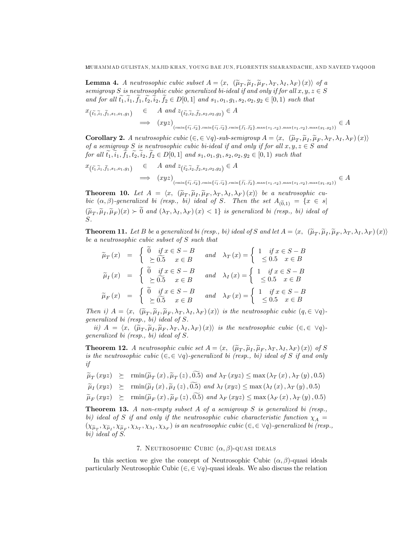**Lemma 4.** A neutrosophic cubic subset  $A = \langle x, (\tilde{\mu}_T, \tilde{\mu}_I, \tilde{\mu}_F, \lambda_T, \lambda_I, \lambda_F)(x) \rangle$  of a<br>continuum C is neutroscalis subjective distribution of subset for all neutrons C C semigroup S is neutrosophic cubic generalized bi-ideal if and only if for all  $x, y, z \in S$ and for all  $\tilde{t}_1, \tilde{t}_1, \tilde{t}_2, \tilde{t}_2, \tilde{t}_2 \in D[0,1]$  and  $s_1, o_1, g_1, s_2, o_2, g_2 \in [0,1)$  such that

$$
x_{\left(\tilde{t}_1,\tilde{t}_1,\tilde{t}_1,s_1,o_1,g_1\right)} \in A \text{ and } z_{\left(\tilde{t}_2,\tilde{t}_2,\tilde{t}_2,s_2,o_2,g_2\right)} \in A
$$
  

$$
\implies (xyz)_{\left(\min\{\tilde{t}_1,\tilde{t}_2\},\min\{\tilde{t}_1,\tilde{t}_2\},\min\{\tilde{t}_1,\tilde{t}_2\},\min\{\tilde{t}_1,\tilde{t}_2\},\max\{s_1,s_2\},\max\{o_1,o_2\},\max\{g_1,g_2\}\right)} \in A
$$

**Corollary 2.** A neutrosophic cubic  $(\epsilon, \epsilon \lor q)$ -sub-semigroup  $A = \langle x, (\tilde{\mu}_T, \tilde{\mu}_I, \tilde{\mu}_F, \lambda_T, \lambda_I, \lambda_F)(x) \rangle$ of a semigroup S is neutrosophic cubic bi-ideal if and only if for all  $x, y, z \in S$  and for all  $\tilde{t}_1, \tilde{i}_1, \tilde{t}_1, \tilde{t}_2, \tilde{i}_2, \tilde{t}_2 \in D[0,1]$  and  $s_1, o_1, g_1, s_2, o_2, g_2 \in [0,1]$  such that

$$
x_{\left(\tilde{t}_1,\tilde{t}_1,\tilde{t}_1,s_1,o_1,g_1\right)} \in A \text{ and } z_{\left(\tilde{t}_2,\tilde{t}_2,\tilde{t}_2,s_2,o_2,g_2\right)} \in A
$$
  

$$
\implies (xyz)_{\left(\min\{\tilde{t}_1,\tilde{t}_2\},\min\{\tilde{t}_1,\tilde{t}_2\},\min\{\tilde{t}_1,\tilde{t}_2\},\max\{s_1,s_2\},\max\{o_1,o_2\},\max\{g_1,g_2\}\right)} \in A
$$

**Theorem 10.** Let  $A = \langle x, (\tilde{\mu}_T, \tilde{\mu}_I, \tilde{\mu}_F, \lambda_T, \lambda_I, \lambda_F)(x) \rangle$  be a neutrosophic cubic  $(\alpha, \beta)$ -generalized bi (resp., bi) ideal of S. Then the set  $A_{(\widetilde{0},1)} = \{x \in s |$  $(\widetilde{\mu}_T, \widetilde{\mu}_I, \widetilde{\mu}_F)(x) \succ 0$  and  $(\lambda_T, \lambda_I, \lambda_F)(x) < 1$  is generalized bi (resp., bi) ideal of S.

**Theorem 11.** Let B be a generalized bi (resp., bi) ideal of S and let  $A = \langle x, \; (\tilde{\mu}_T, \tilde{\mu}_I, \tilde{\mu}_F, \lambda_T, \lambda_I, \lambda_F) (x) \rangle$ be a neutrosophic cubic subset of S such that

$$
\widetilde{\mu}_T(x) = \begin{cases}\n\widetilde{0} & \text{if } x \in S - B \\
\leq \widetilde{0.5} & x \in B\n\end{cases} \text{ and } \lambda_T(x) = \begin{cases}\n1 & \text{if } x \in S - B \\
\leq 0.5 & x \in B\n\end{cases}
$$
\n
$$
\widetilde{\mu}_I(x) = \begin{cases}\n\widetilde{0} & \text{if } x \in S - B \\
\geq \widetilde{0.5} & x \in B\n\end{cases} \text{ and } \lambda_I(x) = \begin{cases}\n1 & \text{if } x \in S - B \\
\leq 0.5 & x \in B\n\end{cases}
$$
\n
$$
\widetilde{\mu}_F(x) = \begin{cases}\n\widetilde{0} & \text{if } x \in S - B \\
\geq \widetilde{0.5} & x \in B\n\end{cases} \text{ and } \lambda_F(x) = \begin{cases}\n1 & \text{if } x \in S - B \\
\leq 0.5 & x \in B\n\end{cases}
$$

Then i)  $A = \langle x, (\tilde{\mu}_T, \tilde{\mu}_I, \tilde{\mu}_F, \lambda_T, \lambda_I, \lambda_F) (x) \rangle$  is the neutrosophic cubic  $(q, \in \forall q)$ generalized bi (resp., bi) ideal of S.

ii)  $A = \langle x, (\widetilde{\mu}_T, \widetilde{\mu}_I, \widetilde{\mu}_F, \lambda_T, \lambda_I, \lambda_F)(x) \rangle$  is the neutrosophic cubic  $(\in, \in \vee q)$ generalized bi (resp., bi) ideal of S.

**Theorem 12.** A neutrosophic cubic set  $A = \langle x, (\tilde{\mu}_T, \tilde{\mu}_I, \tilde{\mu}_F, \lambda_T, \lambda_I, \lambda_F)(x) \rangle$  of S is the neutrosophic cubic  $(\in, \in \vee q)$ -generalized bi (resp., bi) ideal of S if and only if

- $\widetilde{\mu}_T(xyz) \ge \text{rmin}(\widetilde{\mu}_T(x), \widetilde{\mu}_T(z), 0.5) \text{ and } \lambda_T(xyz) \le \text{max}(\lambda_T(x), \lambda_T(y), 0.5)$
- $\widetilde{\mu}_I(xyz) \ge \text{rmin}(\widetilde{\mu}_I(x), \widetilde{\mu}_I(z), 0.5) \text{ and } \lambda_I(xyz) \le \text{max}(\lambda_I(x), \lambda_T(y), 0.5)$

$$
\widetilde{\mu}_F (xyz) \succeq \min(\widetilde{\mu}_F (x), \widetilde{\mu}_F (z), 0.5) \text{ and } \lambda_F (xyz) \leq \max (\lambda_F (x), \lambda_T (y), 0.5)
$$

**Theorem 13.** A non-empty subset A of a semigroup  $S$  is generalized bi (resp., bi) ideal of S if and only if the neutrosophic cubic characteristic function  $\chi_A$  =  $(\chi_{\widetilde{\mu}_T}, \chi_{\widetilde{\mu}_I}, \chi_{\widetilde{\mu}_F}, \chi_{\lambda_T}, \chi_{\lambda_I}, \chi_{\lambda_F})$  is an neutrosophic cubic  $(\in, \in \vee q)$ -generalized bi (resp., bi) ideal of S.

# 7. NEUTROSOPHIC CUBIC  $(\alpha, \beta)$ -QUASI IDEALS

In this section we give the concept of Neutrosophic Cubic  $(\alpha, \beta)$ -quasi ideals particularly Neutrosophic Cubic  $(\epsilon, \epsilon \vee q)$ -quasi ideals. We also discuss the relation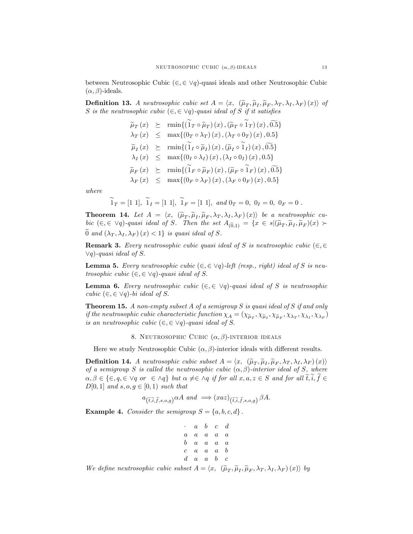between Neutrosophic Cubic ( $\in$ ,  $\in$   $\vee$ q)-quasi ideals and other Neutrosophic Cubic  $(\alpha, \beta)$ -ideals.

**Definition 13.** A neutrosophic cubic set  $A = \langle x, (\tilde{\mu}_T, \tilde{\mu}_I, \tilde{\mu}_F, \lambda_T, \lambda_I, \lambda_F)(x) \rangle$  of S is the neutrosophic cubic  $(\in, \in \vee q)$ -quasi ideal of S if it satisfies

> $\widetilde{\mu}_T(x) \ge \min\{(\widetilde{\mathbf{1}}_T \circ \widetilde{\mu}_T)(x), (\widetilde{\mu}_T \circ \widetilde{\mathbf{1}}_T)(x), \widetilde{0.5}\}\$  $\lambda_T(x) \leq \max\{(0_T \circ \lambda_T)(x), (\lambda_T \circ 0_T)(x), 0.5\}$  $\widetilde{\mu}_I(x) \geq \min\{(\widetilde{1}_I \circ \widetilde{\mu}_I)(x), (\widetilde{\mu}_I \circ \widetilde{1}_I)(x), \widetilde{0.5}\}\$  $\lambda_I(x) \leq \max\{(0_I \circ \lambda_I)(x), (\lambda_I \circ 0_I)(x), 0.5\}$  $\widetilde{\mu}_F(x) \ge \min\{(\widetilde{1}_F \circ \widetilde{\mu}_F)(x),(\widetilde{\mu}_F \circ \widetilde{1}_F)(x),\widetilde{0.5}\}\$  $\lambda_F(x)$  <  $\max\{(0_F \circ \lambda_F)(x), (\lambda_F \circ 0_F)(x), 0.5\}$

where

$$
\widetilde{1}_T = [1\ 1], \ \widetilde{1}_I = [1\ 1], \ \widetilde{1}_F = [1\ 1], \ and \ 0_T = 0, \ 0_I = 0, \ 0_F = 0.
$$

**Theorem 14.** Let  $A = \langle x, (\tilde{\mu}_T, \tilde{\mu}_I, \tilde{\mu}_F, \lambda_T, \lambda_I, \lambda_F)(x) \rangle$  be a neutrosophic cubic  $(\in, \in \forall q)$ -quasi ideal of S. Then the set  $A_{(\widetilde{0},1)} = \{x \in s | (\widetilde{\mu}_T, \widetilde{\mu}_I, \widetilde{\mu}_F)(x) \succ$ 0 and  $(\lambda_T, \lambda_I, \lambda_F)(x) < 1$  is quasi ideal of S.

**Remark 3.** Every neutrosophic cubic quasi ideal of S is neutrosophic cubic  $(\in, \in)$  $\vee q$ )-quasi ideal of S.

**Lemma 5.** Every neutrosophic cubic  $(\epsilon, \epsilon \vee q)$ -left (resp., right) ideal of S is neutrosophic cubic  $(\in, \in \vee q)$ -quasi ideal of S.

**Lemma 6.** Every neutrosophic cubic  $(\in, \in \vee q)$ -quasi ideal of S is neutrosophic cubic  $(\in, \in \vee q)$ -bi ideal of S.

**Theorem 15.** A non-empty subset A of a semigroup S is quasi ideal of S if and only if the neutrosophic cubic characteristic function  $\chi_A = (\chi_{\tilde{\mu}_T}, \chi_{\tilde{\mu}_I}, \chi_{\tilde{\mu}_F}, \chi_{\lambda_T}, \chi_{\lambda_I}, \chi_{\lambda_F})$ is an neutrosophic cubic  $(\in, \in \forall q)$ -quasi ideal of S.

8. NEUTROSOPHIC CUBIC  $(\alpha, \beta)$ -INTERIOR IDEALS

Here we study Neutrosophic Cubic  $(\alpha, \beta)$ -interior ideals with different results.

**Definition 14.** A neutrosophic cubic subset  $A = \langle x, (\tilde{\mu}_T, \tilde{\mu}_I, \tilde{\mu}_F, \lambda_T, \lambda_I, \lambda_F)(x) \rangle$ of a semigroup S is called the neutrosophic cubic  $(\alpha, \beta)$ -interior ideal of S, where  $\alpha, \beta \in \{\in, q, \in \vee q \text{ or } \in \wedge q\}$  but  $\alpha \neq \in \wedge q$  if for all  $x, a, z \in S$  and for all  $\tilde{t}, i, f \in$  $D[0, 1]$  and  $s, o, g \in [0, 1)$  such that

$$
a_{\left(\tilde{t},\tilde{i},\tilde{f},s,o,g\right)} \alpha A \ \ and \ \Longrightarrow (xaz)_{\left(\tilde{t},\tilde{i},\tilde{f},s,o,g\right)} \beta A.
$$

**Example 4.** Consider the semigroup  $S = \{a, b, c, d\}$ .

$$
\begin{array}{ccccccccc} \cdot & a & b & c & d \\ a & a & a & a & a \\ b & a & a & a & a \\ c & a & a & a & b \\ d & a & a & b & c \end{array}
$$

We define neutrosophic cubic subset  $A = \langle x, \; (\tilde{\mu}_T, \tilde{\mu}_I, \tilde{\mu}_F, \lambda_T, \lambda_I, \lambda_F) (x) \rangle$  by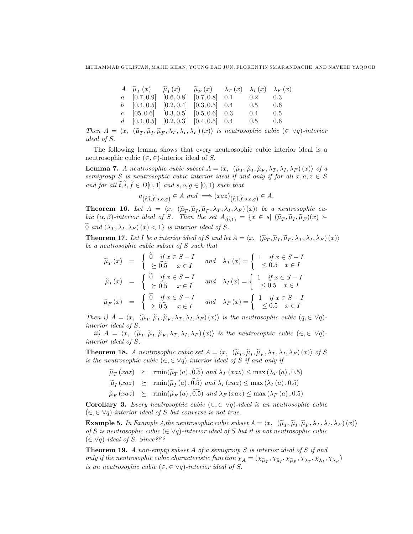|  | $A \widetilde{\mu}_T(x) = \widetilde{\mu}_T(x) = \widetilde{\mu}_F(x) = \lambda_T(x) - \lambda_I(x) - \lambda_F(x)$ |                  |  |
|--|---------------------------------------------------------------------------------------------------------------------|------------------|--|
|  | $a \quad [0.7, 0.9] \quad [0.6, 0.8] \quad [0.7, 0.8] \quad 0.1 \quad 0.2 \quad 0.3$                                |                  |  |
|  | $b \quad [0.4, 0.5] \quad [0.2, 0.4] \quad [0.3, 0.5] \quad 0.4$                                                    | $0.5\qquad 0.6$  |  |
|  | $c$ [05, 0.6] [0.3, 0.5] [0.5, 0.6] 0.3                                                                             | $0.4 \qquad 0.5$ |  |
|  | $d \quad [0.4, 0.5] \quad [0.2, 0.3] \quad [0.4, 0.5] \quad 0.4$                                                    | $0.5 \qquad 0.6$ |  |

Then  $A = \langle x, \; (\widetilde{\mu}_T, \widetilde{\mu}_I, \widetilde{\mu}_F, \lambda_T, \lambda_I, \lambda_F) (x) \rangle$  is neutrosophic cubic  $(\in \forall q)$ -interior ideal of S.

The following lemma shows that every neutrosophic cubic interior ideal is a neutrosophic cubic  $(\in, \in)$ -interior ideal of S.

**Lemma 7.** A neutrosophic cubic subset  $A = \langle x, (\tilde{\mu}_T, \tilde{\mu}_I, \tilde{\mu}_F, \lambda_T, \lambda_I, \lambda_F)(x) \rangle$  of a semigroup S is neutrosophic cubic interior ideal if and only if for all  $x, a, z \in S$ and for all  $\widetilde{t},\widetilde{i},\widetilde{f} \in D[0,1]$  and  $s, o, g \in [0,1)$  such that

$$
a_{\left(\tilde{t},\tilde{i},\tilde{f},s,o,g\right)} \in A \text{ and } \Longrightarrow (xaz)_{\left(\tilde{t},\tilde{i},\tilde{f},s,o,g\right)} \in A.
$$

**Theorem 16.** Let  $A = \langle x, (\tilde{\mu}_T, \tilde{\mu}_I, \tilde{\mu}_F, \lambda_T, \lambda_I, \lambda_F) (x) \rangle$  be a neutrosophic cubic  $(\alpha, \beta)$ -interior ideal of S. Then the set  $A_{(\widetilde{0},1)} = \{x \in s | (\widetilde{\mu}_T, \widetilde{\mu}_I, \widetilde{\mu}_F)(x) \succ$  $\widetilde{0}$  and  $(\lambda_T, \lambda_I, \lambda_F)(x) < 1$  is interior ideal of S.

**Theorem 17.** Let I be a interior ideal of S and let  $A = \langle x, \; (\tilde{\mu}_T, \tilde{\mu}_I, \tilde{\mu}_F, \lambda_T, \lambda_I, \lambda_F) (x) \rangle$ be a neutrosophic cubic subset of S such that

$$
\widetilde{\mu}_T(x) = \begin{cases}\n\widetilde{0} & \text{if } x \in S - I \\
\leq \widetilde{0.5} & x \in I\n\end{cases} \text{ and } \lambda_T(x) = \begin{cases}\n1 & \text{if } x \in S - I \\
\leq 0.5 & x \in I\n\end{cases}
$$
\n
$$
\widetilde{\mu}_I(x) = \begin{cases}\n\widetilde{0} & \text{if } x \in S - I \\
\geq \widetilde{0.5} & x \in I\n\end{cases} \text{ and } \lambda_I(x) = \begin{cases}\n1 & \text{if } x \in S - I \\
\leq 0.5 & x \in I\n\end{cases}
$$
\n
$$
\widetilde{\mu}_F(x) = \begin{cases}\n\widetilde{0} & \text{if } x \in S - I \\
\geq \widetilde{0.5} & x \in I\n\end{cases} \text{ and } \lambda_F(x) = \begin{cases}\n1 & \text{if } x \in S - I \\
\leq 0.5 & x \in I\n\end{cases}
$$

Then i)  $A = \langle x, (\tilde{\mu}_T, \tilde{\mu}_I, \tilde{\mu}_F, \lambda_T, \lambda_I, \lambda_F) (x) \rangle$  is the neutrosophic cubic  $(q, \in \forall q)$ interior ideal of S.

ii)  $A = \langle x, \; (\widetilde{\mu}_T, \widetilde{\mu}_I, \widetilde{\mu}_F, \lambda_T, \lambda_I, \lambda_F) (x) \rangle$  is the neutrosophic cubic  $(\in, \in \vee q)$ interior ideal of S.

**Theorem 18.** A neutrosophic cubic set  $A = \langle x, (\tilde{\mu}_T, \tilde{\mu}_I, \tilde{\mu}_F, \lambda_T, \lambda_I, \lambda_F) (x) \rangle$  of S is the neutrosophic cubic  $(\in, \in \vee q)$ -interior ideal of S if and only if

- $\widetilde{\mu}_T \left( x a z \right) \geq \min(\widetilde{\mu}_T \left( a \right), 0.5) \text{ and } \lambda_T \left( x a z \right) \leq \max \left( \lambda_T \left( a \right), 0.5 \right)$
- $\widetilde{\mu}_I(xaz) \ge \text{rmin}(\widetilde{\mu}_I(a), 0.5) \text{ and } \lambda_I(xaz) \le \text{max}(\lambda_I(a), 0.5)$
- $\widetilde{\mu}_F (xaz) \succeq \min(\widetilde{\mu}_F (a), \widetilde{0.5}) \text{ and } \lambda_F (xaz) \leq \max(\lambda_F (a), 0.5)$

**Corollary 3.** Every neutrosophic cubic  $(\in, \in \vee q)$ -ideal is an neutrosophic cubic  $(\in, \in \vee q)$ -interior ideal of S but converse is not true.

**Example 5.** In Example 4, the neutrosophic cubic subset  $A = \langle x, (\tilde{\mu}_T, \tilde{\mu}_I, \tilde{\mu}_F, \lambda_T, \lambda_I, \lambda_F)(x) \rangle$ <br>of S is neutroscalic subjects) interior ideal of S hat it is not neutroscalic subjection of S is neutrosophic cubic  $(\in \vee q)$ -interior ideal of S but it is not neutrosophic cubic  $(\in \forall q)$ -ideal of S. Since???

**Theorem 19.** A non-empty subset A of a semigroup S is interior ideal of S if and only if the neutrosophic cubic characteristic function  $\chi_A = (\chi_{\tilde{\mu}_T}, \chi_{\tilde{\mu}_I}, \chi_{\tilde{\mu}_F}, \chi_{\lambda_T}, \chi_{\lambda_I}, \chi_{\lambda_F})$ is an neutrosophic cubic  $(\in, \in \vee q)$ -interior ideal of S.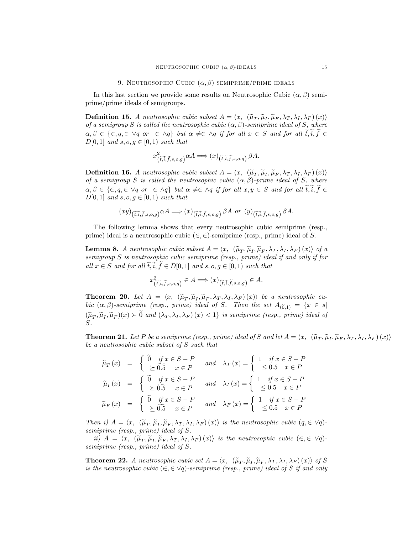In this last section we provide some results on Neutrosophic Cubic  $(\alpha, \beta)$  semiprime/prime ideals of semigroups.

**Definition 15.** A neutrosophic cubic subset  $A = \langle x, (\tilde{\mu}_T, \tilde{\mu}_I, \tilde{\mu}_F, \lambda_T, \lambda_I, \lambda_F)(x) \rangle$ of a semigroup S is called the neutrosophic cubic  $(\alpha, \beta)$ -semiprime ideal of S, where  $\alpha, \beta \in \{\in, q, \in \vee q \text{ or } \in \wedge q\}$  but  $\alpha \neq \in \wedge q$  if for all  $x \in S$  and for all  $\widetilde{t}, \widetilde{i}, \widetilde{f} \in$  $D[0, 1]$  and s, o,  $q \in [0, 1)$  such that

$$
x^2_{(\tilde{t},\tilde{i},\tilde{f},s,o,g)} \alpha A \Longrightarrow (x)_{(\tilde{t},\tilde{i},\tilde{f},s,o,g)} \beta A.
$$

**Definition 16.** A neutrosophic cubic subset  $A = \langle x, (\tilde{\mu}_T, \tilde{\mu}_I, \tilde{\mu}_F, \lambda_T, \lambda_I, \lambda_F)(x) \rangle$ of a semigroup S is called the neutrosophic cubic  $(\alpha, \beta)$ -prime ideal of S, where  $\alpha, \beta \in \{\in, q, \in \vee q \text{ or } \in \wedge q\}$  but  $\alpha \neq \in \wedge q$  if for all  $x, y \in S$  and for all  $\widetilde{t}, \widetilde{i}, \widetilde{f} \in$  $D[0,1]$  and  $s, o, g \in [0,1)$  such that

$$
(xy)_{(\widetilde{t},\widetilde{i},\widetilde{f},s,o,g)} \alpha A \Longrightarrow (x)_{(\widetilde{t},\widetilde{i},\widetilde{f},s,o,g)} \beta A \text{ or } (y)_{(\widetilde{t},\widetilde{i},\widetilde{f},s,o,g)} \beta A.
$$

The following lemma shows that every neutrosophic cubic semiprime (resp., prime) ideal is a neutrosophic cubic  $(\in, \in)$ -semiprime (resp., prime) ideal of S.

**Lemma 8.** A neutrosophic cubic subset  $A = \langle x, \; (\widetilde{\mu}_T, \widetilde{\mu}_I, \widetilde{\mu}_F, \lambda_T, \lambda_I, \lambda_F) (x) \rangle$  of a semigroup S is neutrosophic cubic semiprime (resp., prime) ideal if and only if for all  $x \in S$  and for all  $\tilde{t}, i, f \in D[0, 1]$  and  $s, o, g \in [0, 1)$  such that

$$
x^2_{(\tilde{t}, \tilde{i}, \tilde{f}, s, o, g)} \in A \Longrightarrow (x)_{(\tilde{t}, \tilde{i}, \tilde{f}, s, o, g)} \in A.
$$

**Theorem 20.** Let  $A = \langle x, (\tilde{\mu}_T, \tilde{\mu}_I, \tilde{\mu}_F, \lambda_T, \lambda_I, \lambda_F)(x) \rangle$  be a neutrosophic cubic  $(\alpha, \beta)$ -semiprime (resp., prime) ideal of S. Then the set  $A_{(\widetilde{0},1)} = \{x \in s |$  $(\widetilde{\mu}_T, \widetilde{\mu}_I, \widetilde{\mu}_F)(x) \succ 0$  and  $(\lambda_T, \lambda_I, \lambda_F)(x) < 1$  is semiprime (resp., prime) ideal of S.

**Theorem 21.** Let P be a semiprime (resp., prime) ideal of S and let  $A = \langle x, \; (\widetilde{\mu}_T, \widetilde{\mu}_I, \widetilde{\mu}_F, \lambda_T, \lambda_I, \lambda_F) (x) \rangle$ be a neutrosophic cubic subset of S such that

$$
\widetilde{\mu}_T(x) = \begin{cases}\n\widetilde{0} & \text{if } x \in S - P \\
\geq \widetilde{0.5} & x \in P\n\end{cases} \text{ and } \lambda_T(x) = \begin{cases}\n1 & \text{if } x \in S - P \\
\leq 0.5 & x \in P\n\end{cases}
$$
\n
$$
\widetilde{\mu}_I(x) = \begin{cases}\n\widetilde{0} & \text{if } x \in S - P \\
\geq \widetilde{0.5} & x \in P\n\end{cases} \text{ and } \lambda_I(x) = \begin{cases}\n1 & \text{if } x \in S - P \\
\leq 0.5 & x \in P\n\end{cases}
$$
\n
$$
\widetilde{\mu}_F(x) = \begin{cases}\n\widetilde{0} & \text{if } x \in S - P \\
\geq \widetilde{0.5} & x \in P\n\end{cases} \text{ and } \lambda_F(x) = \begin{cases}\n1 & \text{if } x \in S - P \\
\leq 0.5 & x \in P\n\end{cases}
$$

Then i)  $A = \langle x, \; (\widetilde{\mu}_T, \widetilde{\mu}_I, \widetilde{\mu}_F, \lambda_T, \lambda_I, \lambda_F) (x) \rangle$  is the neutrosophic cubic  $(q, \in \forall q)$ semiprime (resp., prime) ideal of S.

ii)  $A = \langle x, \; (\widetilde{\mu}_T, \widetilde{\mu}_I, \widetilde{\mu}_F, \lambda_T, \lambda_I, \lambda_F)(x) \rangle$  is the neutrosophic cubic  $(\in, \in \vee q)$ semiprime (resp., prime) ideal of S.

**Theorem 22.** A neutrosophic cubic set  $A = \langle x, (\tilde{\mu}_T, \tilde{\mu}_I, \tilde{\mu}_F, \lambda_T, \lambda_I, \lambda_F)(x) \rangle$  of S is the neutrosophic cubic  $(\in, \in \vee q)$ -semiprime (resp., prime) ideal of S if and only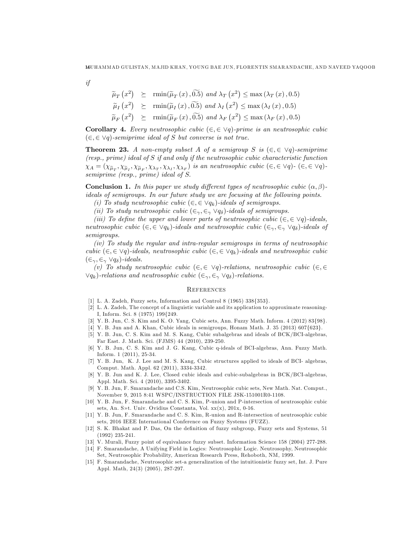if

 $\widetilde{\mu}_T(x^2) \geq \min(\widetilde{\mu}_T(x), \widetilde{0.5}) \text{ and } \lambda_T(x^2) \leq \max(\lambda_T(x), 0.5)$  $\widetilde{\mu}_I(x^2) \geq \min(\widetilde{\mu}_I(x), \widetilde{0.5}) \text{ and } \lambda_I(x^2) \leq \max(\lambda_I(x), 0.5)$  $\widetilde{\mu}_F(x^2) \ge \text{rmin}(\widetilde{\mu}_F(x), \widetilde{0.5}) \text{ and } \lambda_F(x^2) \le \text{max}(\lambda_F(x), 0.5)$ 

**Corollary 4.** Every neutrosophic cubic  $(\in, \in \forall q)$ -prime is an neutrosophic cubic  $(\in, \in \vee q)$ -semiprime ideal of S but converse is not true.

**Theorem 23.** A non-empty subset A of a semigroup S is  $(\in, \in \vee q)$ -semiprime  $(resp., prime)$  ideal of  $S$  if and only if the neutrosophic cubic characteristic function  $\chi_A = (\chi_{\tilde{\mu}_T}, \chi_{\tilde{\mu}_I}, \chi_{\tilde{\mu}_F}, \chi_{\lambda_T}, \chi_{\lambda_I}, \chi_{\lambda_F})$  is an neutrosophic cubic  $(\in, \in \vee q)$ -  $(\in, \in \vee q)$ semiprime (resp., prime) ideal of S.

**Conclusion 1.** In this paper we study different types of neutrosophic cubic  $(\alpha, \beta)$ ideals of semigroups. In our future study we are focusing at the following points.

(i) To study neutrosophic cubic  $(\in, \in \vee q_k)$ -ideals of semigroups.

(ii) To study neutrosophic cubic  $(\epsilon_{\gamma}, \epsilon_{\gamma} \vee q_{\delta})$ -ideals of semigroups.

(iii) To define the upper and lower parts of neutrosophic cubic  $(\in, \in \vee q)$ -ideals, neutrosophic cubic  $(\epsilon, \epsilon \vee q_k)$ -ideals and neutrosophic cubic  $(\epsilon_{\gamma}, \epsilon_{\gamma} \vee q_{\delta})$ -ideals of semigroups.

(iv) To study the regular and intra-regular semigroups in terms of neutrosophic cubic  $(\epsilon, \epsilon \vee q)$ -ideals, neutrosophic cubic  $(\epsilon, \epsilon \vee q_k)$ -ideals and neutrosophic cubic  $(\in_\gamma, \in_\gamma \vee q_\delta)$ -ideals.

(v) To study neutrosophic cubic  $(\in, \in \vee q)$ -relations, neutrosophic cubic  $(\in, \in \vee q)$  $\forall q_k$ )-relations and neutrosophic cubic  $(\in_\gamma, \in_\gamma \forall q_\delta)$ -relations.

## **REFERENCES**

- [1] L. A. Zadeh, Fuzzy sets, Information and Control 8 (1965) 338{353}.
- [2] L. A. Zadeh, The concept of a linguistic variable and its application to approximate reasoning-I, Inform. Sci. 8 (1975) 199{249.
- [3] Y. B. Jun, C. S. Kim and K. O. Yang, Cubic sets, Ann. Fuzzy Math. Inform. 4 (2012) 83{98}.
- [4] Y. B. Jun and A. Khan, Cubic ideals in semigroups, Honam Math. J. 35 (2013) 607{623}.
- [5] Y. B. Jun, C. S. Kim and M. S. Kang, Cubic subalgebras and ideals of BCK/BCI-algebras, Far East. J. Math. Sci. (FJMS) 44 (2010), 239-250.
- [6] Y. B. Jun, C. S. Kim and J. G. Kang, Cubic q-ideals of BCI-algebras, Ann. Fuzzy Math. Inform. 1 (2011), 25-34.
- [7] Y. B. Jun, K. J. Lee and M. S. Kang, Cubic structures applied to ideals of BCI- algebras, Comput. Math. Appl. 62 (2011), 3334-3342.
- [8] Y. B. Jun and K. J. Lee, Closed cubic ideals and cubic-subalgebras in BCK/BCI-algebras, Appl. Math. Sci. 4 (2010), 3395-3402.
- [9] Y. B. Jun, F. Smarandache and C.S. Kim, Neutrosophic cubic sets, New Math. Nat. Comput., November 9, 2015 8:41 WSPC/INSTRUCTION FILE JSK-151001R0-1108.
- [10] Y. B. Jun, F. Smarandache and C. S. Kim, P-union and P-intersection of neutrosophic cubic sets, An. S»t. Univ. Ovidius Constanta, Vol.  $xx(x)$ , 201x, 0-16.
- [11] Y. B. Jun, F. Smarandache and C. S. Kim, R-union and R-intersection of neutrosophic cubic sets, 2016 IEEE International Conference on Fuzzy Systems (FUZZ).
- [12] S. K. Bhakat and P. Das, On the definition of fuzzy subgroup, Fuzzy sets and Systems, 51 (1992) 235-241.
- [13] V. Murali, Fuzzy point of equivalance fuzzy subset. Information Science 158 (2004) 277-288.
- [14] F. Smarandache, A Unifying Field in Logics: Neutrosophic Logic. Neutrosophy, Neutrosophic Set, Neutrosophic Probability, American Research Press, Rehoboth, NM, 1999.
- [15] F. Smarandache, Neutrosophic set-a generalization of the intuitionistic fuzzy set, Int. J. Pure Appl. Math, 24(3) (2005), 287-297.